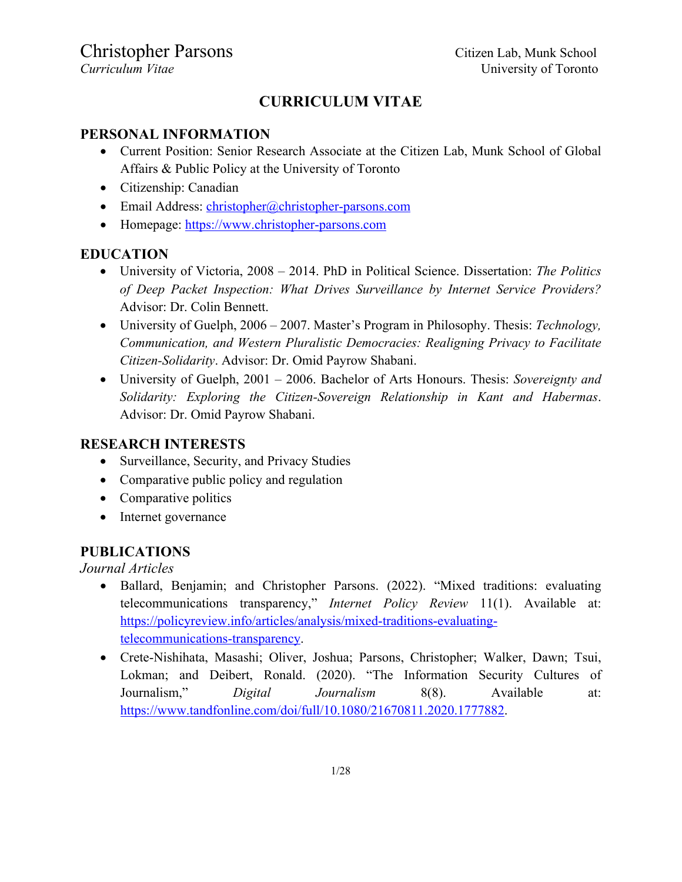## **CURRICULUM VITAE**

#### **PERSONAL INFORMATION**

- Current Position: Senior Research Associate at the Citizen Lab, Munk School of Global Affairs & Public Policy at the University of Toronto
- Citizenship: Canadian
- Email Address: christopher@christopher-parsons.com
- Homepage: https://www.christopher-parsons.com

### **EDUCATION**

- University of Victoria, 2008 2014. PhD in Political Science. Dissertation: *The Politics of Deep Packet Inspection: What Drives Surveillance by Internet Service Providers?* Advisor: Dr. Colin Bennett.
- University of Guelph, 2006 2007. Master's Program in Philosophy. Thesis: *Technology, Communication, and Western Pluralistic Democracies: Realigning Privacy to Facilitate Citizen-Solidarity*. Advisor: Dr. Omid Payrow Shabani.
- University of Guelph, 2001 2006. Bachelor of Arts Honours. Thesis: *Sovereignty and Solidarity: Exploring the Citizen-Sovereign Relationship in Kant and Habermas*. Advisor: Dr. Omid Payrow Shabani.

### **RESEARCH INTERESTS**

- Surveillance, Security, and Privacy Studies
- Comparative public policy and regulation
- Comparative politics
- Internet governance

### **PUBLICATIONS**

*Journal Articles*

- Ballard, Benjamin; and Christopher Parsons. (2022). "Mixed traditions: evaluating telecommunications transparency," *Internet Policy Review* 11(1). Available at: https://policyreview.info/articles/analysis/mixed-traditions-evaluatingtelecommunications-transparency.
- Crete-Nishihata, Masashi; Oliver, Joshua; Parsons, Christopher; Walker, Dawn; Tsui, Lokman; and Deibert, Ronald. (2020). "The Information Security Cultures of Journalism," *Digital Journalism* 8(8). Available at: https://www.tandfonline.com/doi/full/10.1080/21670811.2020.1777882.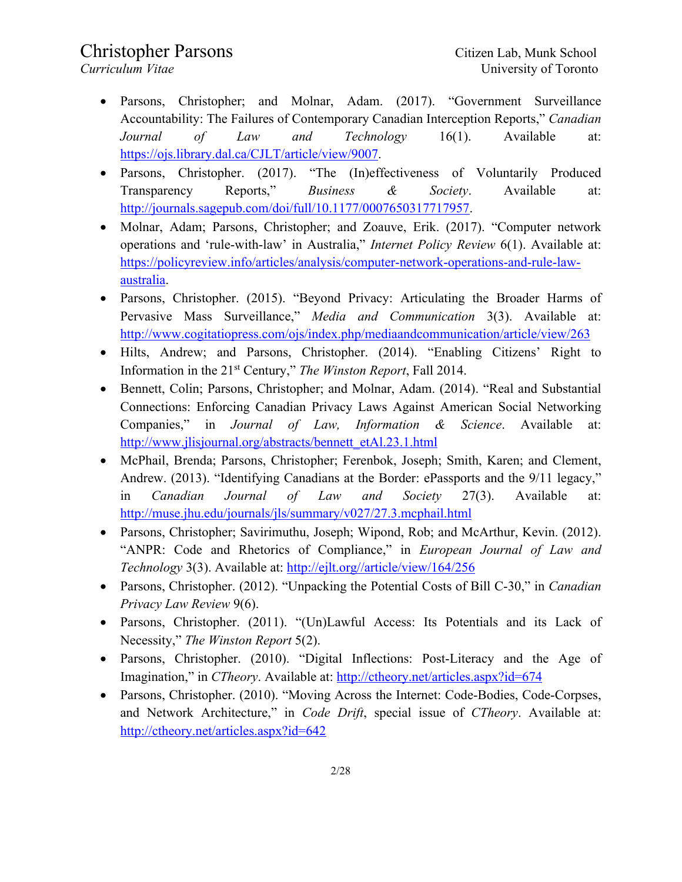- Parsons, Christopher; and Molnar, Adam. (2017). "Government Surveillance Accountability: The Failures of Contemporary Canadian Interception Reports," *Canadian Journal of Law and Technology* 16(1). Available at: https://ojs.library.dal.ca/CJLT/article/view/9007.
- Parsons, Christopher. (2017). "The (In)effectiveness of Voluntarily Produced Transparency Reports," *Business & Society*. Available at: http://journals.sagepub.com/doi/full/10.1177/0007650317717957.
- Molnar, Adam; Parsons, Christopher; and Zoauve, Erik. (2017). "Computer network operations and 'rule-with-law' in Australia," *Internet Policy Review* 6(1). Available at: https://policyreview.info/articles/analysis/computer-network-operations-and-rule-lawaustralia.
- Parsons, Christopher. (2015). "Beyond Privacy: Articulating the Broader Harms of Pervasive Mass Surveillance," *Media and Communication* 3(3). Available at: http://www.cogitatiopress.com/ojs/index.php/mediaandcommunication/article/view/263
- Hilts, Andrew; and Parsons, Christopher. (2014). "Enabling Citizens' Right to Information in the 21st Century," *The Winston Report*, Fall 2014.
- Bennett, Colin; Parsons, Christopher; and Molnar, Adam. (2014). "Real and Substantial Connections: Enforcing Canadian Privacy Laws Against American Social Networking Companies," in *Journal of Law, Information & Science*. Available at: http://www.jlisjournal.org/abstracts/bennett\_etAl.23.1.html
- McPhail, Brenda; Parsons, Christopher; Ferenbok, Joseph; Smith, Karen; and Clement, Andrew. (2013). "Identifying Canadians at the Border: ePassports and the 9/11 legacy," in *Canadian Journal of Law and Society* 27(3). Available at: http://muse.jhu.edu/journals/jls/summary/v027/27.3.mcphail.html
- Parsons, Christopher; Savirimuthu, Joseph; Wipond, Rob; and McArthur, Kevin. (2012). "ANPR: Code and Rhetorics of Compliance," in *European Journal of Law and Technology* 3(3). Available at: http://ejlt.org//article/view/164/256
- Parsons, Christopher. (2012). "Unpacking the Potential Costs of Bill C-30," in *Canadian Privacy Law Review* 9(6).
- Parsons, Christopher. (2011). "(Un)Lawful Access: Its Potentials and its Lack of Necessity," *The Winston Report* 5(2).
- Parsons, Christopher. (2010). "Digital Inflections: Post-Literacy and the Age of Imagination," in *CTheory*. Available at: http://ctheory.net/articles.aspx?id=674
- Parsons, Christopher. (2010). "Moving Across the Internet: Code-Bodies, Code-Corpses, and Network Architecture," in *Code Drift*, special issue of *CTheory*. Available at: http://ctheory.net/articles.aspx?id=642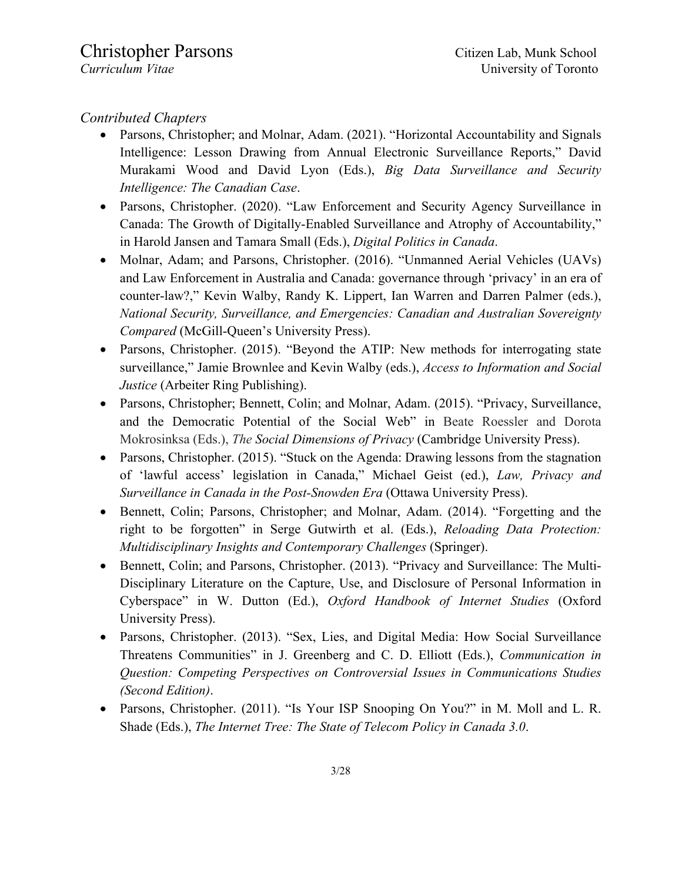### *Contributed Chapters*

- Parsons, Christopher; and Molnar, Adam. (2021). "Horizontal Accountability and Signals Intelligence: Lesson Drawing from Annual Electronic Surveillance Reports," David Murakami Wood and David Lyon (Eds.), *Big Data Surveillance and Security Intelligence: The Canadian Case*.
- Parsons, Christopher. (2020). "Law Enforcement and Security Agency Surveillance in Canada: The Growth of Digitally-Enabled Surveillance and Atrophy of Accountability," in Harold Jansen and Tamara Small (Eds.), *Digital Politics in Canada*.
- Molnar, Adam; and Parsons, Christopher. (2016). "Unmanned Aerial Vehicles (UAVs) and Law Enforcement in Australia and Canada: governance through 'privacy' in an era of counter-law?," Kevin Walby, Randy K. Lippert, Ian Warren and Darren Palmer (eds.), *National Security, Surveillance, and Emergencies: Canadian and Australian Sovereignty Compared* (McGill-Queen's University Press).
- Parsons, Christopher. (2015). "Beyond the ATIP: New methods for interrogating state surveillance," Jamie Brownlee and Kevin Walby (eds.), *Access to Information and Social Justice* (Arbeiter Ring Publishing).
- Parsons, Christopher; Bennett, Colin; and Molnar, Adam. (2015). "Privacy, Surveillance, and the Democratic Potential of the Social Web" in Beate Roessler and Dorota Mokrosinksa (Eds.), *The Social Dimensions of Privacy* (Cambridge University Press).
- Parsons, Christopher. (2015). "Stuck on the Agenda: Drawing lessons from the stagnation of 'lawful access' legislation in Canada," Michael Geist (ed.), *Law, Privacy and Surveillance in Canada in the Post-Snowden Era* (Ottawa University Press).
- Bennett, Colin; Parsons, Christopher; and Molnar, Adam. (2014). "Forgetting and the right to be forgotten" in Serge Gutwirth et al. (Eds.), *Reloading Data Protection: Multidisciplinary Insights and Contemporary Challenges* (Springer).
- Bennett, Colin; and Parsons, Christopher. (2013). "Privacy and Surveillance: The Multi-Disciplinary Literature on the Capture, Use, and Disclosure of Personal Information in Cyberspace" in W. Dutton (Ed.), *Oxford Handbook of Internet Studies* (Oxford University Press).
- Parsons, Christopher. (2013). "Sex, Lies, and Digital Media: How Social Surveillance Threatens Communities" in J. Greenberg and C. D. Elliott (Eds.), *Communication in Question: Competing Perspectives on Controversial Issues in Communications Studies (Second Edition)*.
- Parsons, Christopher. (2011). "Is Your ISP Snooping On You?" in M. Moll and L. R. Shade (Eds.), *The Internet Tree: The State of Telecom Policy in Canada 3.0*.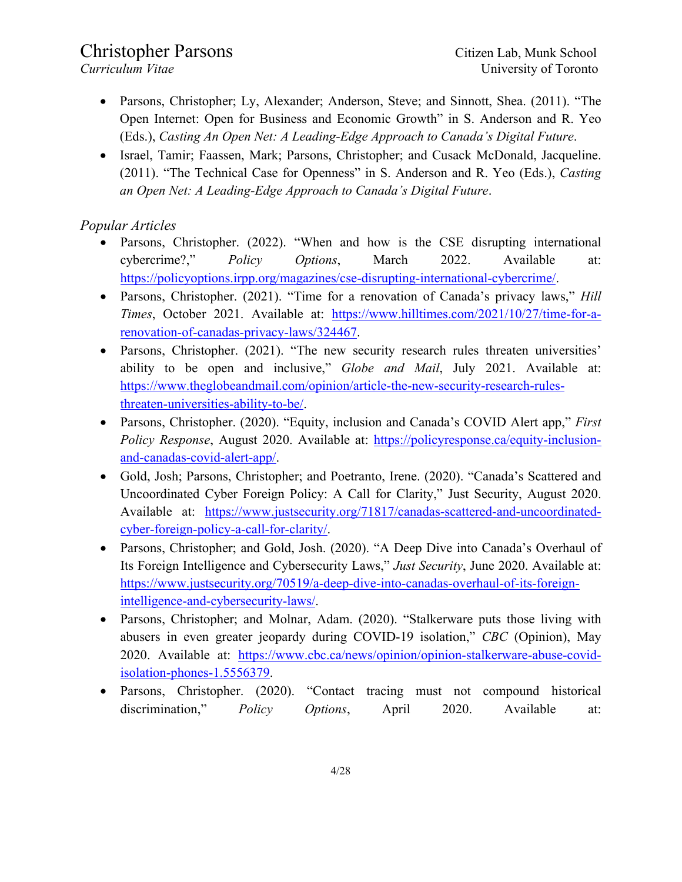- Parsons, Christopher; Ly, Alexander; Anderson, Steve; and Sinnott, Shea. (2011). "The Open Internet: Open for Business and Economic Growth" in S. Anderson and R. Yeo (Eds.), *Casting An Open Net: A Leading-Edge Approach to Canada's Digital Future*.
- Israel, Tamir; Faassen, Mark; Parsons, Christopher; and Cusack McDonald, Jacqueline. (2011). "The Technical Case for Openness" in S. Anderson and R. Yeo (Eds.), *Casting an Open Net: A Leading-Edge Approach to Canada's Digital Future*.

### *Popular Articles*

- Parsons, Christopher. (2022). "When and how is the CSE disrupting international cybercrime?," *Policy Options*, March 2022. Available at: https://policyoptions.irpp.org/magazines/cse-disrupting-international-cybercrime/.
- Parsons, Christopher. (2021). "Time for a renovation of Canada's privacy laws," *Hill Times*, October 2021. Available at: https://www.hilltimes.com/2021/10/27/time-for-arenovation-of-canadas-privacy-laws/324467.
- Parsons, Christopher. (2021). "The new security research rules threaten universities' ability to be open and inclusive," *Globe and Mail*, July 2021. Available at: https://www.theglobeandmail.com/opinion/article-the-new-security-research-rulesthreaten-universities-ability-to-be/.
- Parsons, Christopher. (2020). "Equity, inclusion and Canada's COVID Alert app," *First Policy Response*, August 2020. Available at: https://policyresponse.ca/equity-inclusionand-canadas-covid-alert-app/.
- Gold, Josh; Parsons, Christopher; and Poetranto, Irene. (2020). "Canada's Scattered and Uncoordinated Cyber Foreign Policy: A Call for Clarity," Just Security, August 2020. Available at: https://www.justsecurity.org/71817/canadas-scattered-and-uncoordinatedcyber-foreign-policy-a-call-for-clarity/.
- Parsons, Christopher; and Gold, Josh. (2020). "A Deep Dive into Canada's Overhaul of Its Foreign Intelligence and Cybersecurity Laws," *Just Security*, June 2020. Available at: https://www.justsecurity.org/70519/a-deep-dive-into-canadas-overhaul-of-its-foreignintelligence-and-cybersecurity-laws/.
- Parsons, Christopher; and Molnar, Adam. (2020). "Stalkerware puts those living with abusers in even greater jeopardy during COVID-19 isolation," *CBC* (Opinion), May 2020. Available at: https://www.cbc.ca/news/opinion/opinion-stalkerware-abuse-covidisolation-phones-1.5556379.
- Parsons, Christopher. (2020). "Contact tracing must not compound historical discrimination," *Policy Options*, April 2020. Available at: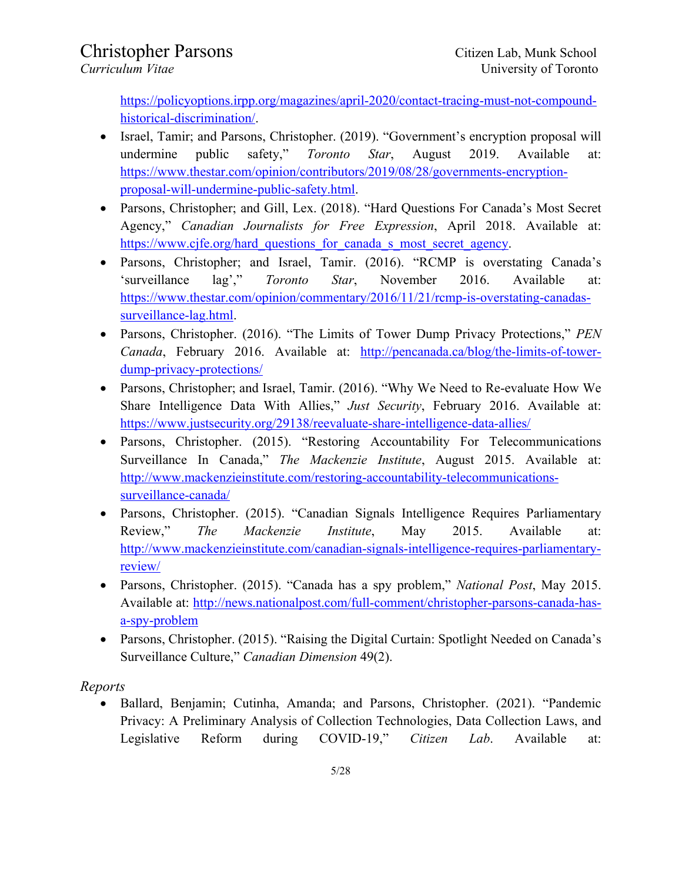https://policyoptions.irpp.org/magazines/april-2020/contact-tracing-must-not-compoundhistorical-discrimination/.

- Israel, Tamir; and Parsons, Christopher. (2019). "Government's encryption proposal will undermine public safety," *Toronto Star*, August 2019. Available at: https://www.thestar.com/opinion/contributors/2019/08/28/governments-encryptionproposal-will-undermine-public-safety.html.
- Parsons, Christopher; and Gill, Lex. (2018). "Hard Questions For Canada's Most Secret Agency," *Canadian Journalists for Free Expression*, April 2018. Available at: https://www.cjfe.org/hard\_questions\_for\_canada\_s\_most\_secret\_agency.
- Parsons, Christopher; and Israel, Tamir. (2016). "RCMP is overstating Canada's 'surveillance lag'," *Toronto Star*, November 2016. Available at: https://www.thestar.com/opinion/commentary/2016/11/21/rcmp-is-overstating-canadassurveillance-lag.html.
- Parsons, Christopher. (2016). "The Limits of Tower Dump Privacy Protections," *PEN Canada*, February 2016. Available at: http://pencanada.ca/blog/the-limits-of-towerdump-privacy-protections/
- Parsons, Christopher; and Israel, Tamir. (2016). "Why We Need to Re-evaluate How We Share Intelligence Data With Allies," *Just Security*, February 2016. Available at: https://www.justsecurity.org/29138/reevaluate-share-intelligence-data-allies/
- Parsons, Christopher. (2015). "Restoring Accountability For Telecommunications Surveillance In Canada," *The Mackenzie Institute*, August 2015. Available at: http://www.mackenzieinstitute.com/restoring-accountability-telecommunicationssurveillance-canada/
- Parsons, Christopher. (2015). "Canadian Signals Intelligence Requires Parliamentary Review," *The Mackenzie Institute*, May 2015. Available at: http://www.mackenzieinstitute.com/canadian-signals-intelligence-requires-parliamentaryreview/
- Parsons, Christopher. (2015). "Canada has a spy problem," *National Post*, May 2015. Available at: http://news.nationalpost.com/full-comment/christopher-parsons-canada-hasa-spy-problem
- Parsons, Christopher. (2015). "Raising the Digital Curtain: Spotlight Needed on Canada's Surveillance Culture," *Canadian Dimension* 49(2).

*Reports*

• Ballard, Benjamin; Cutinha, Amanda; and Parsons, Christopher. (2021). "Pandemic Privacy: A Preliminary Analysis of Collection Technologies, Data Collection Laws, and Legislative Reform during COVID-19," *Citizen Lab*. Available at: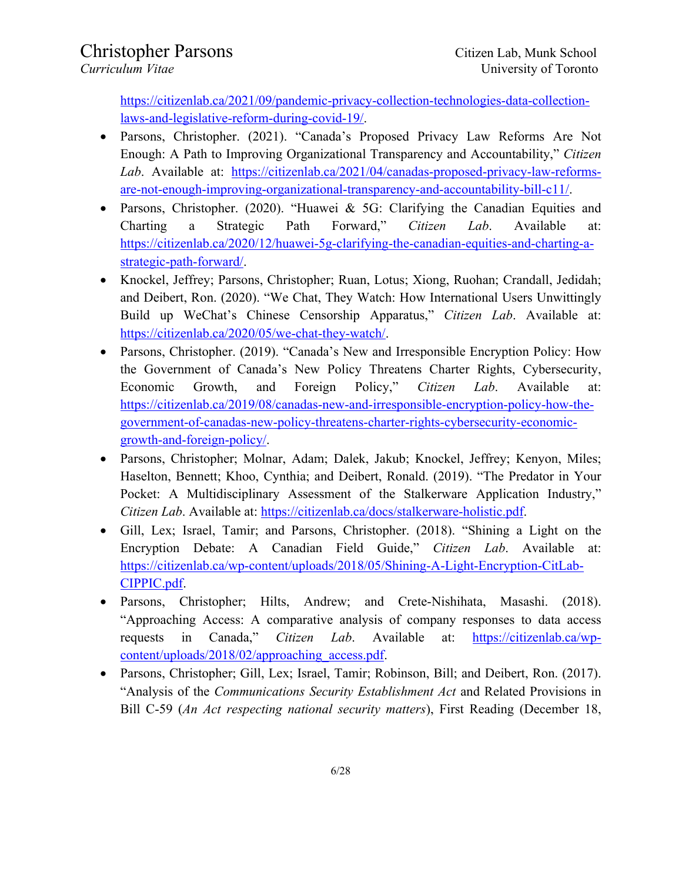https://citizenlab.ca/2021/09/pandemic-privacy-collection-technologies-data-collectionlaws-and-legislative-reform-during-covid-19/.

- Parsons, Christopher. (2021). "Canada's Proposed Privacy Law Reforms Are Not Enough: A Path to Improving Organizational Transparency and Accountability," *Citizen Lab*. Available at: https://citizenlab.ca/2021/04/canadas-proposed-privacy-law-reformsare-not-enough-improving-organizational-transparency-and-accountability-bill-c11/.
- Parsons, Christopher. (2020). "Huawei & 5G: Clarifying the Canadian Equities and Charting a Strategic Path Forward," *Citizen Lab*. Available at: https://citizenlab.ca/2020/12/huawei-5g-clarifying-the-canadian-equities-and-charting-astrategic-path-forward/.
- Knockel, Jeffrey; Parsons, Christopher; Ruan, Lotus; Xiong, Ruohan; Crandall, Jedidah; and Deibert, Ron. (2020). "We Chat, They Watch: How International Users Unwittingly Build up WeChat's Chinese Censorship Apparatus," *Citizen Lab*. Available at: https://citizenlab.ca/2020/05/we-chat-they-watch/.
- Parsons, Christopher. (2019). "Canada's New and Irresponsible Encryption Policy: How the Government of Canada's New Policy Threatens Charter Rights, Cybersecurity, Economic Growth, and Foreign Policy," *Citizen Lab*. Available at: https://citizenlab.ca/2019/08/canadas-new-and-irresponsible-encryption-policy-how-thegovernment-of-canadas-new-policy-threatens-charter-rights-cybersecurity-economicgrowth-and-foreign-policy/.
- Parsons, Christopher; Molnar, Adam; Dalek, Jakub; Knockel, Jeffrey; Kenyon, Miles; Haselton, Bennett; Khoo, Cynthia; and Deibert, Ronald. (2019). "The Predator in Your Pocket: A Multidisciplinary Assessment of the Stalkerware Application Industry," *Citizen Lab*. Available at: https://citizenlab.ca/docs/stalkerware-holistic.pdf.
- Gill, Lex; Israel, Tamir; and Parsons, Christopher. (2018). "Shining a Light on the Encryption Debate: A Canadian Field Guide," *Citizen Lab*. Available at: https://citizenlab.ca/wp-content/uploads/2018/05/Shining-A-Light-Encryption-CitLab-CIPPIC.pdf.
- Parsons, Christopher; Hilts, Andrew; and Crete-Nishihata, Masashi. (2018). "Approaching Access: A comparative analysis of company responses to data access requests in Canada," *Citizen Lab*. Available at: https://citizenlab.ca/wpcontent/uploads/2018/02/approaching\_access.pdf.
- Parsons, Christopher; Gill, Lex; Israel, Tamir; Robinson, Bill; and Deibert, Ron. (2017). "Analysis of the *Communications Security Establishment Act* and Related Provisions in Bill C-59 (*An Act respecting national security matters*), First Reading (December 18,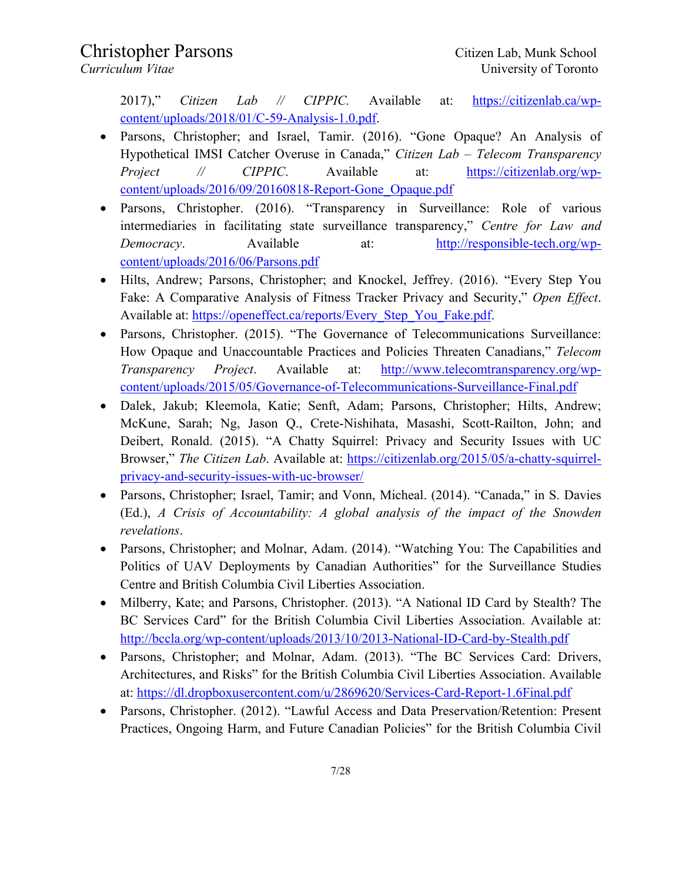2017)," *Citizen Lab // CIPPIC.* Available at: https://citizenlab.ca/wpcontent/uploads/2018/01/C-59-Analysis-1.0.pdf.

- Parsons, Christopher; and Israel, Tamir. (2016). "Gone Opaque? An Analysis of Hypothetical IMSI Catcher Overuse in Canada," *Citizen Lab – Telecom Transparency Project // CIPPIC.* Available at: https://citizenlab.org/wpcontent/uploads/2016/09/20160818-Report-Gone\_Opaque.pdf
- Parsons, Christopher. (2016). "Transparency in Surveillance: Role of various intermediaries in facilitating state surveillance transparency," *Centre for Law and Democracy*. Available at: http://responsible-tech.org/wpcontent/uploads/2016/06/Parsons.pdf
- Hilts, Andrew; Parsons, Christopher; and Knockel, Jeffrey. (2016). "Every Step You Fake: A Comparative Analysis of Fitness Tracker Privacy and Security," *Open Effect*. Available at: https://openeffect.ca/reports/Every\_Step\_You\_Fake.pdf.
- Parsons, Christopher. (2015). "The Governance of Telecommunications Surveillance: How Opaque and Unaccountable Practices and Policies Threaten Canadians," *Telecom Transparency Project*. Available at: http://www.telecomtransparency.org/wpcontent/uploads/2015/05/Governance-of-Telecommunications-Surveillance-Final.pdf
- Dalek, Jakub; Kleemola, Katie; Senft, Adam; Parsons, Christopher; Hilts, Andrew; McKune, Sarah; Ng, Jason Q., Crete-Nishihata, Masashi, Scott-Railton, John; and Deibert, Ronald. (2015). "A Chatty Squirrel: Privacy and Security Issues with UC Browser," *The Citizen Lab*. Available at: https://citizenlab.org/2015/05/a-chatty-squirrelprivacy-and-security-issues-with-uc-browser/
- Parsons, Christopher; Israel, Tamir; and Vonn, Micheal. (2014). "Canada," in S. Davies (Ed.), *A Crisis of Accountability: A global analysis of the impact of the Snowden revelations*.
- Parsons, Christopher; and Molnar, Adam. (2014). "Watching You: The Capabilities and Politics of UAV Deployments by Canadian Authorities" for the Surveillance Studies Centre and British Columbia Civil Liberties Association.
- Milberry, Kate; and Parsons, Christopher. (2013). "A National ID Card by Stealth? The BC Services Card" for the British Columbia Civil Liberties Association. Available at: http://bccla.org/wp-content/uploads/2013/10/2013-National-ID-Card-by-Stealth.pdf
- Parsons, Christopher; and Molnar, Adam. (2013). "The BC Services Card: Drivers, Architectures, and Risks" for the British Columbia Civil Liberties Association. Available at: https://dl.dropboxusercontent.com/u/2869620/Services-Card-Report-1.6Final.pdf
- Parsons, Christopher. (2012). "Lawful Access and Data Preservation/Retention: Present Practices, Ongoing Harm, and Future Canadian Policies" for the British Columbia Civil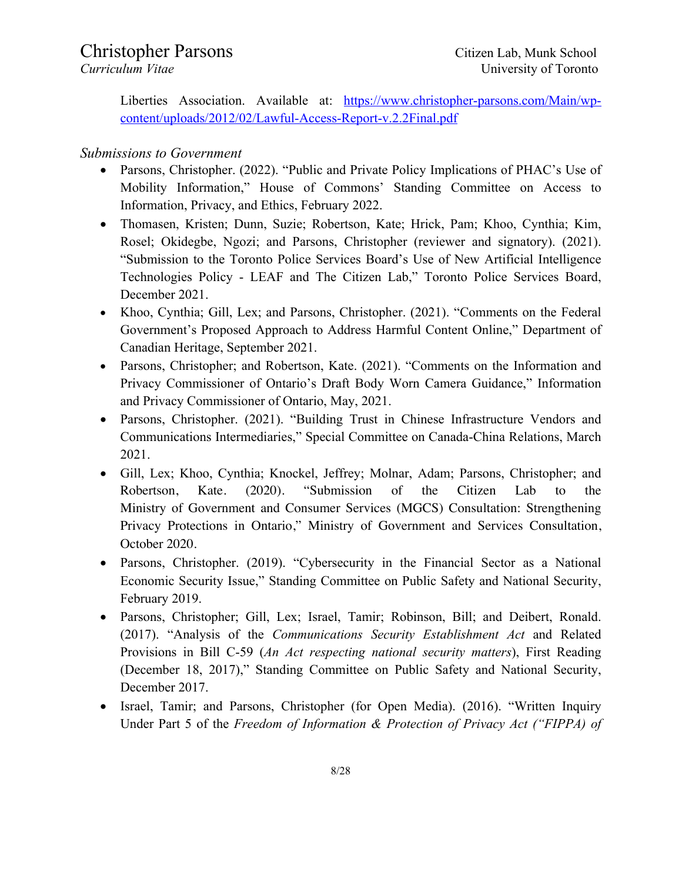Liberties Association. Available at: https://www.christopher-parsons.com/Main/wpcontent/uploads/2012/02/Lawful-Access-Report-v.2.2Final.pdf

### *Submissions to Government*

- Parsons, Christopher. (2022). "Public and Private Policy Implications of PHAC's Use of Mobility Information," House of Commons' Standing Committee on Access to Information, Privacy, and Ethics, February 2022.
- Thomasen, Kristen; Dunn, Suzie; Robertson, Kate; Hrick, Pam; Khoo, Cynthia; Kim, Rosel; Okidegbe, Ngozi; and Parsons, Christopher (reviewer and signatory). (2021). "Submission to the Toronto Police Services Board's Use of New Artificial Intelligence Technologies Policy - LEAF and The Citizen Lab," Toronto Police Services Board, December 2021.
- Khoo, Cynthia; Gill, Lex; and Parsons, Christopher. (2021). "Comments on the Federal Government's Proposed Approach to Address Harmful Content Online," Department of Canadian Heritage, September 2021.
- Parsons, Christopher; and Robertson, Kate. (2021). "Comments on the Information and Privacy Commissioner of Ontario's Draft Body Worn Camera Guidance," Information and Privacy Commissioner of Ontario, May, 2021.
- Parsons, Christopher. (2021). "Building Trust in Chinese Infrastructure Vendors and Communications Intermediaries," Special Committee on Canada-China Relations, March 2021.
- Gill, Lex; Khoo, Cynthia; Knockel, Jeffrey; Molnar, Adam; Parsons, Christopher; and Robertson, Kate. (2020). "Submission of the Citizen Lab to the Ministry of Government and Consumer Services (MGCS) Consultation: Strengthening Privacy Protections in Ontario," Ministry of Government and Services Consultation, October 2020.
- Parsons, Christopher. (2019). "Cybersecurity in the Financial Sector as a National Economic Security Issue," Standing Committee on Public Safety and National Security, February 2019.
- Parsons, Christopher; Gill, Lex; Israel, Tamir; Robinson, Bill; and Deibert, Ronald. (2017). "Analysis of the *Communications Security Establishment Act* and Related Provisions in Bill C-59 (*An Act respecting national security matters*), First Reading (December 18, 2017)," Standing Committee on Public Safety and National Security, December 2017.
- Israel, Tamir; and Parsons, Christopher (for Open Media). (2016). "Written Inquiry Under Part 5 of the *Freedom of Information & Protection of Privacy Act ("FIPPA) of*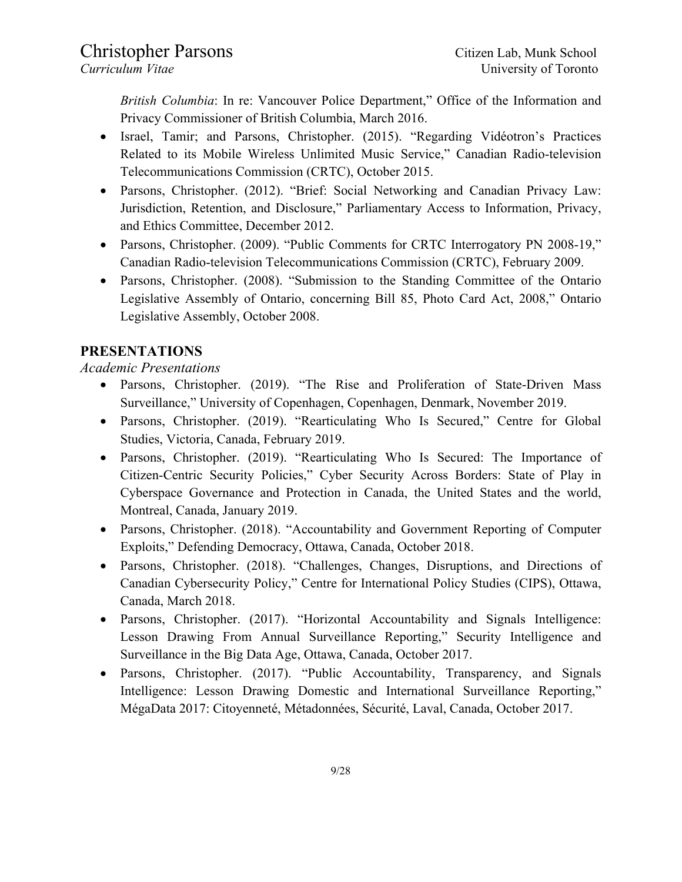*British Columbia*: In re: Vancouver Police Department," Office of the Information and Privacy Commissioner of British Columbia, March 2016.

- Israel, Tamir; and Parsons, Christopher. (2015). "Regarding Vidéotron's Practices Related to its Mobile Wireless Unlimited Music Service," Canadian Radio-television Telecommunications Commission (CRTC), October 2015.
- Parsons, Christopher. (2012). "Brief: Social Networking and Canadian Privacy Law: Jurisdiction, Retention, and Disclosure," Parliamentary Access to Information, Privacy, and Ethics Committee, December 2012.
- Parsons, Christopher. (2009). "Public Comments for CRTC Interrogatory PN 2008-19," Canadian Radio-television Telecommunications Commission (CRTC), February 2009.
- Parsons, Christopher. (2008). "Submission to the Standing Committee of the Ontario Legislative Assembly of Ontario, concerning Bill 85, Photo Card Act, 2008," Ontario Legislative Assembly, October 2008.

### **PRESENTATIONS**

*Academic Presentations*

- Parsons, Christopher. (2019). "The Rise and Proliferation of State-Driven Mass Surveillance," University of Copenhagen, Copenhagen, Denmark, November 2019.
- Parsons, Christopher. (2019). "Rearticulating Who Is Secured," Centre for Global Studies, Victoria, Canada, February 2019.
- Parsons, Christopher. (2019). "Rearticulating Who Is Secured: The Importance of Citizen-Centric Security Policies," Cyber Security Across Borders: State of Play in Cyberspace Governance and Protection in Canada, the United States and the world, Montreal, Canada, January 2019.
- Parsons, Christopher. (2018). "Accountability and Government Reporting of Computer Exploits," Defending Democracy, Ottawa, Canada, October 2018.
- Parsons, Christopher. (2018). "Challenges, Changes, Disruptions, and Directions of Canadian Cybersecurity Policy," Centre for International Policy Studies (CIPS), Ottawa, Canada, March 2018.
- Parsons, Christopher. (2017). "Horizontal Accountability and Signals Intelligence: Lesson Drawing From Annual Surveillance Reporting," Security Intelligence and Surveillance in the Big Data Age, Ottawa, Canada, October 2017.
- Parsons, Christopher. (2017). "Public Accountability, Transparency, and Signals Intelligence: Lesson Drawing Domestic and International Surveillance Reporting," MégaData 2017: Citoyenneté, Métadonnées, Sécurité, Laval, Canada, October 2017.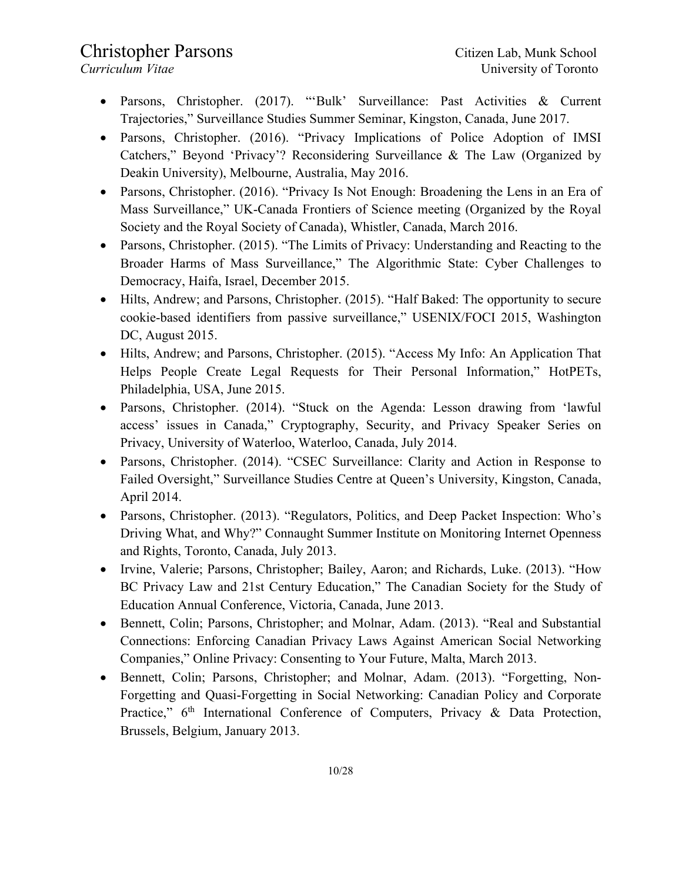- Parsons, Christopher. (2017). "'Bulk' Surveillance: Past Activities & Current Trajectories," Surveillance Studies Summer Seminar, Kingston, Canada, June 2017.
- Parsons, Christopher. (2016). "Privacy Implications of Police Adoption of IMSI Catchers," Beyond 'Privacy'? Reconsidering Surveillance & The Law (Organized by Deakin University), Melbourne, Australia, May 2016.
- Parsons, Christopher. (2016). "Privacy Is Not Enough: Broadening the Lens in an Era of Mass Surveillance," UK-Canada Frontiers of Science meeting (Organized by the Royal Society and the Royal Society of Canada), Whistler, Canada, March 2016.
- Parsons, Christopher. (2015). "The Limits of Privacy: Understanding and Reacting to the Broader Harms of Mass Surveillance," The Algorithmic State: Cyber Challenges to Democracy, Haifa, Israel, December 2015.
- Hilts, Andrew; and Parsons, Christopher. (2015). "Half Baked: The opportunity to secure cookie-based identifiers from passive surveillance," USENIX/FOCI 2015, Washington DC, August 2015.
- Hilts, Andrew; and Parsons, Christopher. (2015). "Access My Info: An Application That Helps People Create Legal Requests for Their Personal Information," HotPETs, Philadelphia, USA, June 2015.
- Parsons, Christopher. (2014). "Stuck on the Agenda: Lesson drawing from 'lawful access' issues in Canada," Cryptography, Security, and Privacy Speaker Series on Privacy, University of Waterloo, Waterloo, Canada, July 2014.
- Parsons, Christopher. (2014). "CSEC Surveillance: Clarity and Action in Response to Failed Oversight," Surveillance Studies Centre at Queen's University, Kingston, Canada, April 2014.
- Parsons, Christopher. (2013). "Regulators, Politics, and Deep Packet Inspection: Who's Driving What, and Why?" Connaught Summer Institute on Monitoring Internet Openness and Rights, Toronto, Canada, July 2013.
- Irvine, Valerie; Parsons, Christopher; Bailey, Aaron; and Richards, Luke. (2013). "How BC Privacy Law and 21st Century Education," The Canadian Society for the Study of Education Annual Conference, Victoria, Canada, June 2013.
- Bennett, Colin; Parsons, Christopher; and Molnar, Adam. (2013). "Real and Substantial Connections: Enforcing Canadian Privacy Laws Against American Social Networking Companies," Online Privacy: Consenting to Your Future, Malta, March 2013.
- Bennett, Colin; Parsons, Christopher; and Molnar, Adam. (2013). "Forgetting, Non-Forgetting and Quasi-Forgetting in Social Networking: Canadian Policy and Corporate Practice," 6<sup>th</sup> International Conference of Computers, Privacy & Data Protection, Brussels, Belgium, January 2013.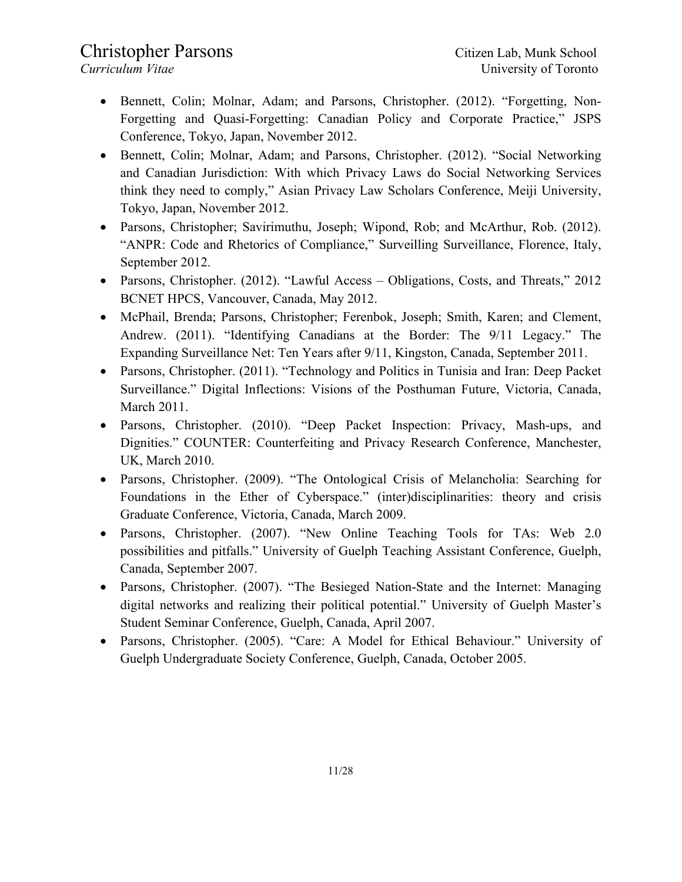- Bennett, Colin; Molnar, Adam; and Parsons, Christopher. (2012). "Forgetting, Non-Forgetting and Quasi-Forgetting: Canadian Policy and Corporate Practice," JSPS Conference, Tokyo, Japan, November 2012.
- Bennett, Colin; Molnar, Adam; and Parsons, Christopher. (2012). "Social Networking and Canadian Jurisdiction: With which Privacy Laws do Social Networking Services think they need to comply," Asian Privacy Law Scholars Conference, Meiji University, Tokyo, Japan, November 2012.
- Parsons, Christopher; Savirimuthu, Joseph; Wipond, Rob; and McArthur, Rob. (2012). "ANPR: Code and Rhetorics of Compliance," Surveilling Surveillance, Florence, Italy, September 2012.
- Parsons, Christopher. (2012). "Lawful Access Obligations, Costs, and Threats," 2012 BCNET HPCS, Vancouver, Canada, May 2012.
- McPhail, Brenda; Parsons, Christopher; Ferenbok, Joseph; Smith, Karen; and Clement, Andrew. (2011). "Identifying Canadians at the Border: The 9/11 Legacy." The Expanding Surveillance Net: Ten Years after 9/11, Kingston, Canada, September 2011.
- Parsons, Christopher. (2011). "Technology and Politics in Tunisia and Iran: Deep Packet Surveillance." Digital Inflections: Visions of the Posthuman Future, Victoria, Canada, March 2011.
- Parsons, Christopher. (2010). "Deep Packet Inspection: Privacy, Mash-ups, and Dignities." COUNTER: Counterfeiting and Privacy Research Conference, Manchester, UK, March 2010.
- Parsons, Christopher. (2009). "The Ontological Crisis of Melancholia: Searching for Foundations in the Ether of Cyberspace." (inter)disciplinarities: theory and crisis Graduate Conference, Victoria, Canada, March 2009.
- Parsons, Christopher. (2007). "New Online Teaching Tools for TAs: Web 2.0 possibilities and pitfalls." University of Guelph Teaching Assistant Conference, Guelph, Canada, September 2007.
- Parsons, Christopher. (2007). "The Besieged Nation-State and the Internet: Managing digital networks and realizing their political potential." University of Guelph Master's Student Seminar Conference, Guelph, Canada, April 2007.
- Parsons, Christopher. (2005). "Care: A Model for Ethical Behaviour." University of Guelph Undergraduate Society Conference, Guelph, Canada, October 2005.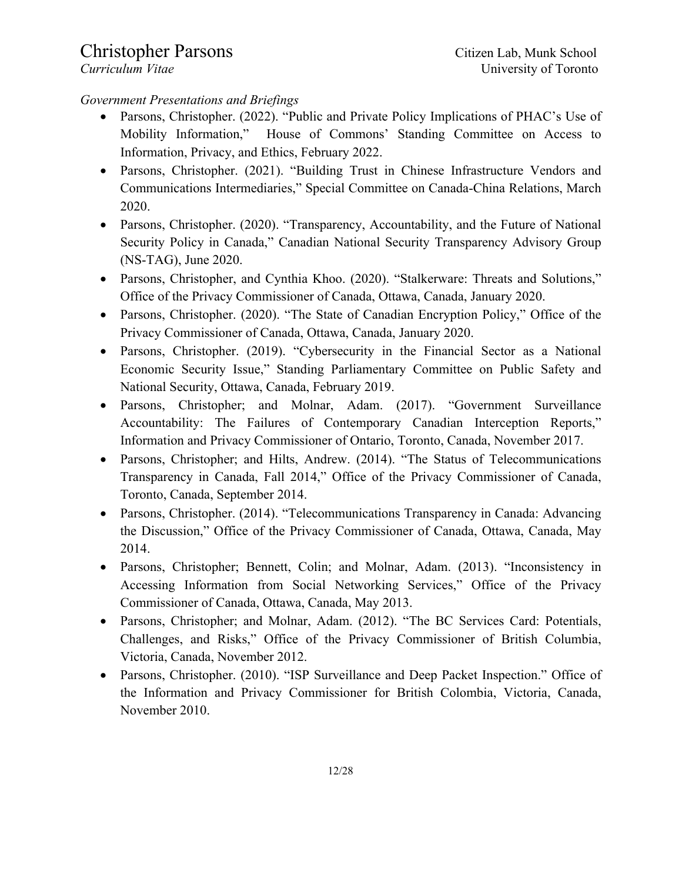#### *Government Presentations and Briefings*

- Parsons, Christopher. (2022). "Public and Private Policy Implications of PHAC's Use of Mobility Information," House of Commons' Standing Committee on Access to Information, Privacy, and Ethics, February 2022.
- Parsons, Christopher. (2021). "Building Trust in Chinese Infrastructure Vendors and Communications Intermediaries," Special Committee on Canada-China Relations, March 2020.
- Parsons, Christopher. (2020). "Transparency, Accountability, and the Future of National Security Policy in Canada," Canadian National Security Transparency Advisory Group (NS-TAG), June 2020.
- Parsons, Christopher, and Cynthia Khoo. (2020). "Stalkerware: Threats and Solutions," Office of the Privacy Commissioner of Canada, Ottawa, Canada, January 2020.
- Parsons, Christopher. (2020). "The State of Canadian Encryption Policy," Office of the Privacy Commissioner of Canada, Ottawa, Canada, January 2020.
- Parsons, Christopher. (2019). "Cybersecurity in the Financial Sector as a National Economic Security Issue," Standing Parliamentary Committee on Public Safety and National Security, Ottawa, Canada, February 2019.
- Parsons, Christopher; and Molnar, Adam. (2017). "Government Surveillance Accountability: The Failures of Contemporary Canadian Interception Reports," Information and Privacy Commissioner of Ontario, Toronto, Canada, November 2017.
- Parsons, Christopher; and Hilts, Andrew. (2014). "The Status of Telecommunications Transparency in Canada, Fall 2014," Office of the Privacy Commissioner of Canada, Toronto, Canada, September 2014.
- Parsons, Christopher. (2014). "Telecommunications Transparency in Canada: Advancing the Discussion," Office of the Privacy Commissioner of Canada, Ottawa, Canada, May 2014.
- Parsons, Christopher; Bennett, Colin; and Molnar, Adam. (2013). "Inconsistency in Accessing Information from Social Networking Services," Office of the Privacy Commissioner of Canada, Ottawa, Canada, May 2013.
- Parsons, Christopher; and Molnar, Adam. (2012). "The BC Services Card: Potentials, Challenges, and Risks," Office of the Privacy Commissioner of British Columbia, Victoria, Canada, November 2012.
- Parsons, Christopher. (2010). "ISP Surveillance and Deep Packet Inspection." Office of the Information and Privacy Commissioner for British Colombia, Victoria, Canada, November 2010.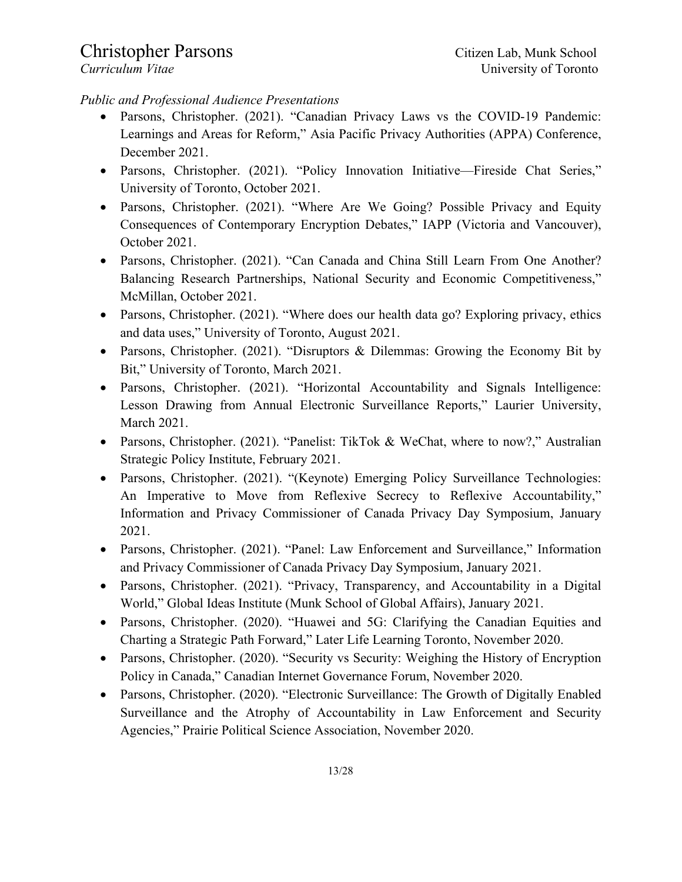### *Public and Professional Audience Presentations*

- Parsons, Christopher. (2021). "Canadian Privacy Laws vs the COVID-19 Pandemic: Learnings and Areas for Reform," Asia Pacific Privacy Authorities (APPA) Conference, December 2021.
- Parsons, Christopher. (2021). "Policy Innovation Initiative—Fireside Chat Series," University of Toronto, October 2021.
- Parsons, Christopher. (2021). "Where Are We Going? Possible Privacy and Equity Consequences of Contemporary Encryption Debates," IAPP (Victoria and Vancouver), October 2021.
- Parsons, Christopher. (2021). "Can Canada and China Still Learn From One Another? Balancing Research Partnerships, National Security and Economic Competitiveness," McMillan, October 2021.
- Parsons, Christopher. (2021). "Where does our health data go? Exploring privacy, ethics and data uses," University of Toronto, August 2021.
- Parsons, Christopher. (2021). "Disruptors & Dilemmas: Growing the Economy Bit by Bit," University of Toronto, March 2021.
- Parsons, Christopher. (2021). "Horizontal Accountability and Signals Intelligence: Lesson Drawing from Annual Electronic Surveillance Reports," Laurier University, March 2021.
- Parsons, Christopher. (2021). "Panelist: TikTok & WeChat, where to now?," Australian Strategic Policy Institute, February 2021.
- Parsons, Christopher. (2021). "(Keynote) Emerging Policy Surveillance Technologies: An Imperative to Move from Reflexive Secrecy to Reflexive Accountability," Information and Privacy Commissioner of Canada Privacy Day Symposium, January 2021.
- Parsons, Christopher. (2021). "Panel: Law Enforcement and Surveillance," Information and Privacy Commissioner of Canada Privacy Day Symposium, January 2021.
- Parsons, Christopher. (2021). "Privacy, Transparency, and Accountability in a Digital World," Global Ideas Institute (Munk School of Global Affairs), January 2021.
- Parsons, Christopher. (2020). "Huawei and 5G: Clarifying the Canadian Equities and Charting a Strategic Path Forward," Later Life Learning Toronto, November 2020.
- Parsons, Christopher. (2020). "Security vs Security: Weighing the History of Encryption Policy in Canada," Canadian Internet Governance Forum, November 2020.
- Parsons, Christopher. (2020). "Electronic Surveillance: The Growth of Digitally Enabled Surveillance and the Atrophy of Accountability in Law Enforcement and Security Agencies," Prairie Political Science Association, November 2020.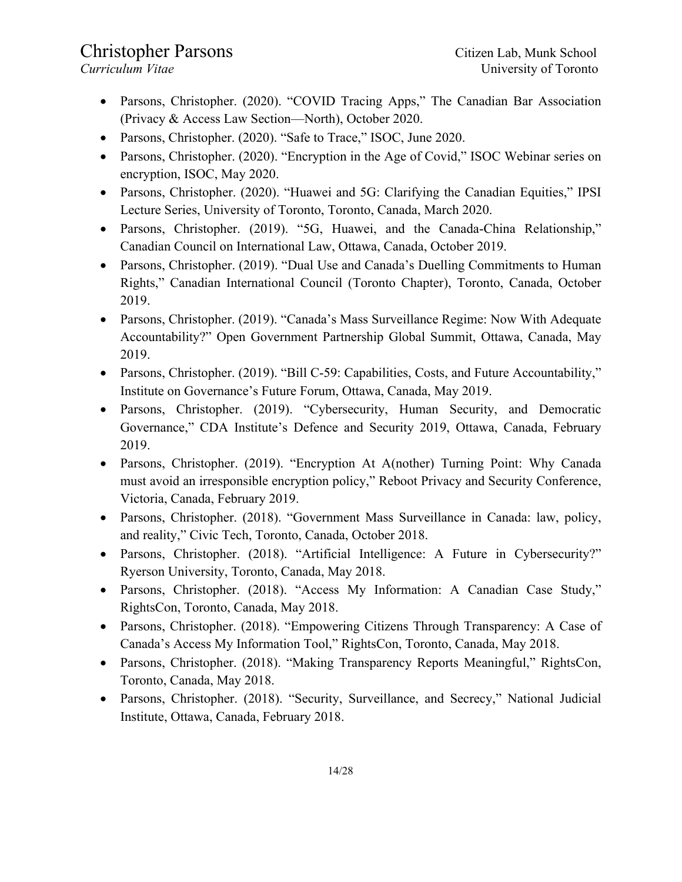- Parsons, Christopher. (2020). "COVID Tracing Apps," The Canadian Bar Association (Privacy & Access Law Section—North), October 2020.
- Parsons, Christopher. (2020). "Safe to Trace," ISOC, June 2020.
- Parsons, Christopher. (2020). "Encryption in the Age of Covid," ISOC Webinar series on encryption, ISOC, May 2020.
- Parsons, Christopher. (2020). "Huawei and 5G: Clarifying the Canadian Equities," IPSI Lecture Series, University of Toronto, Toronto, Canada, March 2020.
- Parsons, Christopher. (2019). "5G, Huawei, and the Canada-China Relationship," Canadian Council on International Law, Ottawa, Canada, October 2019.
- Parsons, Christopher. (2019). "Dual Use and Canada's Duelling Commitments to Human Rights," Canadian International Council (Toronto Chapter), Toronto, Canada, October 2019.
- Parsons, Christopher. (2019). "Canada's Mass Surveillance Regime: Now With Adequate Accountability?" Open Government Partnership Global Summit, Ottawa, Canada, May 2019.
- Parsons, Christopher. (2019). "Bill C-59: Capabilities, Costs, and Future Accountability," Institute on Governance's Future Forum, Ottawa, Canada, May 2019.
- Parsons, Christopher. (2019). "Cybersecurity, Human Security, and Democratic Governance," CDA Institute's Defence and Security 2019, Ottawa, Canada, February 2019.
- Parsons, Christopher. (2019). "Encryption At A(nother) Turning Point: Why Canada must avoid an irresponsible encryption policy," Reboot Privacy and Security Conference, Victoria, Canada, February 2019.
- Parsons, Christopher. (2018). "Government Mass Surveillance in Canada: law, policy, and reality," Civic Tech, Toronto, Canada, October 2018.
- Parsons, Christopher. (2018). "Artificial Intelligence: A Future in Cybersecurity?" Ryerson University, Toronto, Canada, May 2018.
- Parsons, Christopher. (2018). "Access My Information: A Canadian Case Study," RightsCon, Toronto, Canada, May 2018.
- Parsons, Christopher. (2018). "Empowering Citizens Through Transparency: A Case of Canada's Access My Information Tool," RightsCon, Toronto, Canada, May 2018.
- Parsons, Christopher. (2018). "Making Transparency Reports Meaningful," RightsCon, Toronto, Canada, May 2018.
- Parsons, Christopher. (2018). "Security, Surveillance, and Secrecy," National Judicial Institute, Ottawa, Canada, February 2018.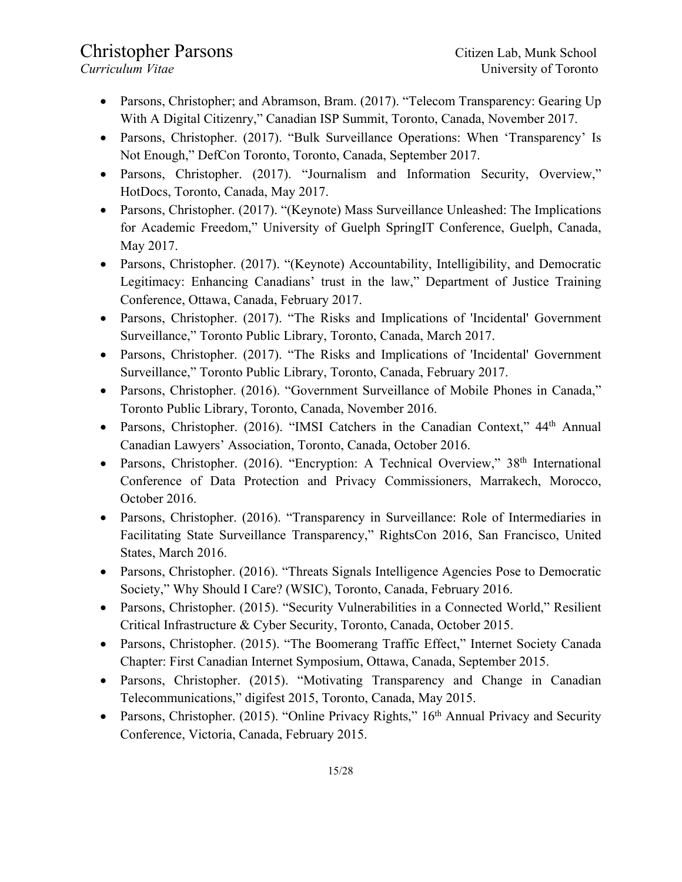- Parsons, Christopher; and Abramson, Bram. (2017). "Telecom Transparency: Gearing Up With A Digital Citizenry," Canadian ISP Summit, Toronto, Canada, November 2017.
- Parsons, Christopher. (2017). "Bulk Surveillance Operations: When 'Transparency' Is Not Enough," DefCon Toronto, Toronto, Canada, September 2017.
- Parsons, Christopher. (2017). "Journalism and Information Security, Overview," HotDocs, Toronto, Canada, May 2017.
- Parsons, Christopher. (2017). "(Keynote) Mass Surveillance Unleashed: The Implications for Academic Freedom," University of Guelph SpringIT Conference, Guelph, Canada, May 2017.
- Parsons, Christopher. (2017). "(Keynote) Accountability, Intelligibility, and Democratic Legitimacy: Enhancing Canadians' trust in the law," Department of Justice Training Conference, Ottawa, Canada, February 2017.
- Parsons, Christopher. (2017). "The Risks and Implications of 'Incidental' Government Surveillance," Toronto Public Library, Toronto, Canada, March 2017.
- Parsons, Christopher. (2017). "The Risks and Implications of 'Incidental' Government Surveillance," Toronto Public Library, Toronto, Canada, February 2017.
- Parsons, Christopher. (2016). "Government Surveillance of Mobile Phones in Canada," Toronto Public Library, Toronto, Canada, November 2016.
- Parsons, Christopher. (2016). "IMSI Catchers in the Canadian Context," 44<sup>th</sup> Annual Canadian Lawyers' Association, Toronto, Canada, October 2016.
- Parsons, Christopher. (2016). "Encryption: A Technical Overview,"  $38<sup>th</sup>$  International Conference of Data Protection and Privacy Commissioners, Marrakech, Morocco, October 2016.
- Parsons, Christopher. (2016). "Transparency in Surveillance: Role of Intermediaries in Facilitating State Surveillance Transparency," RightsCon 2016, San Francisco, United States, March 2016.
- Parsons, Christopher. (2016). "Threats Signals Intelligence Agencies Pose to Democratic Society," Why Should I Care? (WSIC), Toronto, Canada, February 2016.
- Parsons, Christopher. (2015). "Security Vulnerabilities in a Connected World," Resilient Critical Infrastructure & Cyber Security, Toronto, Canada, October 2015.
- Parsons, Christopher. (2015). "The Boomerang Traffic Effect," Internet Society Canada Chapter: First Canadian Internet Symposium, Ottawa, Canada, September 2015.
- Parsons, Christopher. (2015). "Motivating Transparency and Change in Canadian Telecommunications," digifest 2015, Toronto, Canada, May 2015.
- Parsons, Christopher. (2015). "Online Privacy Rights," 16<sup>th</sup> Annual Privacy and Security Conference, Victoria, Canada, February 2015.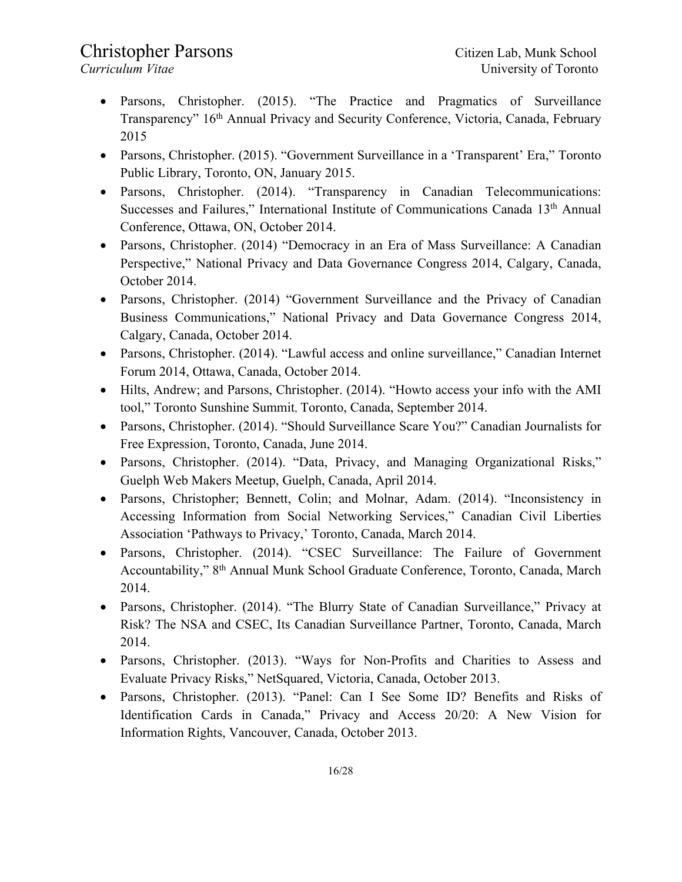- Parsons, Christopher. (2015). "The Practice and Pragmatics of Surveillance Transparency" 16th Annual Privacy and Security Conference, Victoria, Canada, February 2015
- Parsons, Christopher. (2015). "Government Surveillance in a 'Transparent' Era," Toronto Public Library, Toronto, ON, January 2015.
- Parsons, Christopher. (2014). "Transparency in Canadian Telecommunications: Successes and Failures," International Institute of Communications Canada 13<sup>th</sup> Annual Conference, Ottawa, ON, October 2014.
- Parsons, Christopher. (2014) "Democracy in an Era of Mass Surveillance: A Canadian Perspective," National Privacy and Data Governance Congress 2014, Calgary, Canada, October 2014.
- Parsons, Christopher. (2014) "Government Surveillance and the Privacy of Canadian Business Communications," National Privacy and Data Governance Congress 2014, Calgary, Canada, October 2014.
- Parsons, Christopher. (2014). "Lawful access and online surveillance," Canadian Internet Forum 2014, Ottawa, Canada, October 2014.
- Hilts, Andrew; and Parsons, Christopher. (2014). "Howto access your info with the AMI tool," Toronto Sunshine Summit, Toronto, Canada, September 2014.
- Parsons, Christopher. (2014). "Should Surveillance Scare You?" Canadian Journalists for Free Expression, Toronto, Canada, June 2014.
- Parsons, Christopher. (2014). "Data, Privacy, and Managing Organizational Risks," Guelph Web Makers Meetup, Guelph, Canada, April 2014.
- Parsons, Christopher; Bennett, Colin; and Molnar, Adam. (2014). "Inconsistency in Accessing Information from Social Networking Services," Canadian Civil Liberties Association 'Pathways to Privacy,' Toronto, Canada, March 2014.
- Parsons, Christopher. (2014). "CSEC Surveillance: The Failure of Government Accountability," 8th Annual Munk School Graduate Conference, Toronto, Canada, March 2014.
- Parsons, Christopher. (2014). "The Blurry State of Canadian Surveillance," Privacy at Risk? The NSA and CSEC, Its Canadian Surveillance Partner, Toronto, Canada, March 2014.
- Parsons, Christopher. (2013). "Ways for Non-Profits and Charities to Assess and Evaluate Privacy Risks," NetSquared, Victoria, Canada, October 2013.
- Parsons, Christopher. (2013). "Panel: Can I See Some ID? Benefits and Risks of Identification Cards in Canada," Privacy and Access 20/20: A New Vision for Information Rights, Vancouver, Canada, October 2013.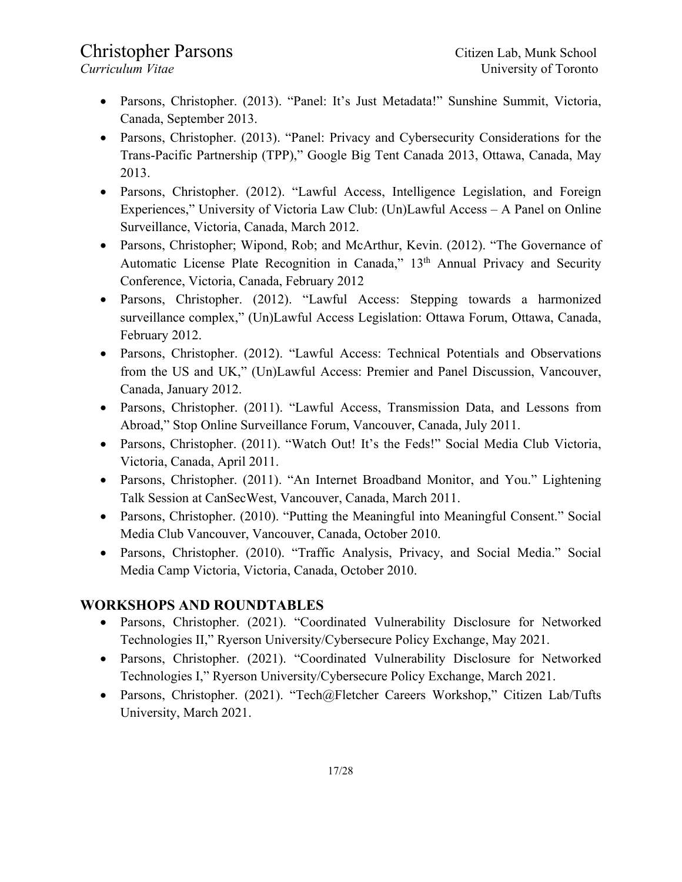- Parsons, Christopher. (2013). "Panel: It's Just Metadata!" Sunshine Summit, Victoria, Canada, September 2013.
- Parsons, Christopher. (2013). "Panel: Privacy and Cybersecurity Considerations for the Trans-Pacific Partnership (TPP)," Google Big Tent Canada 2013, Ottawa, Canada, May 2013.
- Parsons, Christopher. (2012). "Lawful Access, Intelligence Legislation, and Foreign Experiences," University of Victoria Law Club: (Un)Lawful Access – A Panel on Online Surveillance, Victoria, Canada, March 2012.
- Parsons, Christopher; Wipond, Rob; and McArthur, Kevin. (2012). "The Governance of Automatic License Plate Recognition in Canada," 13<sup>th</sup> Annual Privacy and Security Conference, Victoria, Canada, February 2012
- Parsons, Christopher. (2012). "Lawful Access: Stepping towards a harmonized surveillance complex," (Un)Lawful Access Legislation: Ottawa Forum, Ottawa, Canada, February 2012.
- Parsons, Christopher. (2012). "Lawful Access: Technical Potentials and Observations from the US and UK," (Un)Lawful Access: Premier and Panel Discussion, Vancouver, Canada, January 2012.
- Parsons, Christopher. (2011). "Lawful Access, Transmission Data, and Lessons from Abroad," Stop Online Surveillance Forum, Vancouver, Canada, July 2011.
- Parsons, Christopher. (2011). "Watch Out! It's the Feds!" Social Media Club Victoria, Victoria, Canada, April 2011.
- Parsons, Christopher. (2011). "An Internet Broadband Monitor, and You." Lightening Talk Session at CanSecWest, Vancouver, Canada, March 2011.
- Parsons, Christopher. (2010). "Putting the Meaningful into Meaningful Consent." Social Media Club Vancouver, Vancouver, Canada, October 2010.
- Parsons, Christopher. (2010). "Traffic Analysis, Privacy, and Social Media." Social Media Camp Victoria, Victoria, Canada, October 2010.

### **WORKSHOPS AND ROUNDTABLES**

- Parsons, Christopher. (2021). "Coordinated Vulnerability Disclosure for Networked Technologies II," Ryerson University/Cybersecure Policy Exchange, May 2021.
- Parsons, Christopher. (2021). "Coordinated Vulnerability Disclosure for Networked Technologies I," Ryerson University/Cybersecure Policy Exchange, March 2021.
- Parsons, Christopher. (2021). "Tech@Fletcher Careers Workshop," Citizen Lab/Tufts University, March 2021.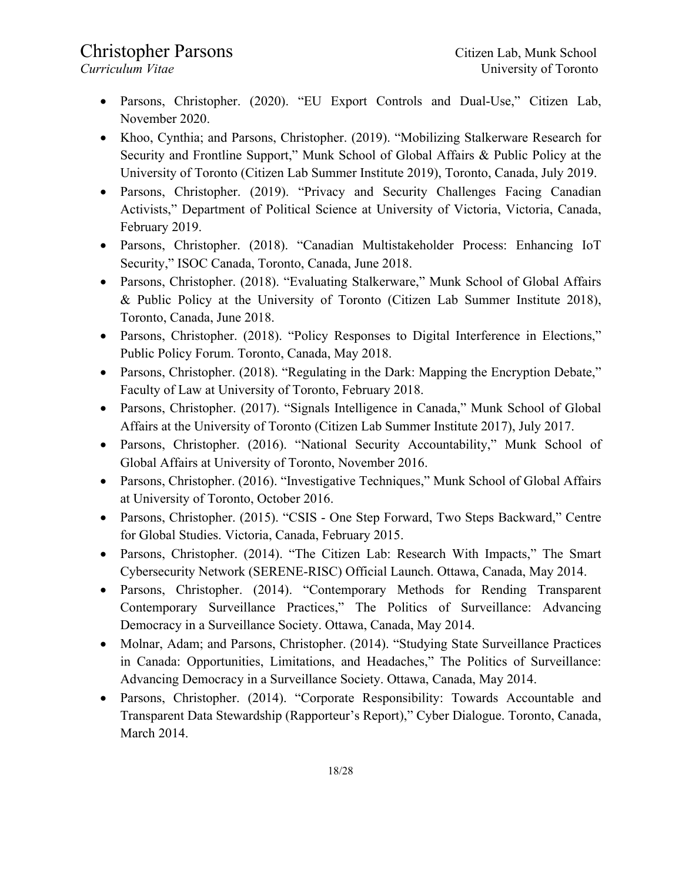- Parsons, Christopher. (2020). "EU Export Controls and Dual-Use," Citizen Lab, November 2020.
- Khoo, Cynthia; and Parsons, Christopher. (2019). "Mobilizing Stalkerware Research for Security and Frontline Support," Munk School of Global Affairs & Public Policy at the University of Toronto (Citizen Lab Summer Institute 2019), Toronto, Canada, July 2019.
- Parsons, Christopher. (2019). "Privacy and Security Challenges Facing Canadian Activists," Department of Political Science at University of Victoria, Victoria, Canada, February 2019.
- Parsons, Christopher. (2018). "Canadian Multistakeholder Process: Enhancing IoT Security," ISOC Canada, Toronto, Canada, June 2018.
- Parsons, Christopher. (2018). "Evaluating Stalkerware," Munk School of Global Affairs & Public Policy at the University of Toronto (Citizen Lab Summer Institute 2018), Toronto, Canada, June 2018.
- Parsons, Christopher. (2018). "Policy Responses to Digital Interference in Elections," Public Policy Forum. Toronto, Canada, May 2018.
- Parsons, Christopher. (2018). "Regulating in the Dark: Mapping the Encryption Debate," Faculty of Law at University of Toronto, February 2018.
- Parsons, Christopher. (2017). "Signals Intelligence in Canada," Munk School of Global Affairs at the University of Toronto (Citizen Lab Summer Institute 2017), July 2017.
- Parsons, Christopher. (2016). "National Security Accountability," Munk School of Global Affairs at University of Toronto, November 2016.
- Parsons, Christopher. (2016). "Investigative Techniques," Munk School of Global Affairs at University of Toronto, October 2016.
- Parsons, Christopher. (2015). "CSIS One Step Forward, Two Steps Backward," Centre for Global Studies. Victoria, Canada, February 2015.
- Parsons, Christopher. (2014). "The Citizen Lab: Research With Impacts," The Smart Cybersecurity Network (SERENE-RISC) Official Launch. Ottawa, Canada, May 2014.
- Parsons, Christopher. (2014). "Contemporary Methods for Rending Transparent Contemporary Surveillance Practices," The Politics of Surveillance: Advancing Democracy in a Surveillance Society. Ottawa, Canada, May 2014.
- Molnar, Adam; and Parsons, Christopher. (2014). "Studying State Surveillance Practices in Canada: Opportunities, Limitations, and Headaches," The Politics of Surveillance: Advancing Democracy in a Surveillance Society. Ottawa, Canada, May 2014.
- Parsons, Christopher. (2014). "Corporate Responsibility: Towards Accountable and Transparent Data Stewardship (Rapporteur's Report)," Cyber Dialogue. Toronto, Canada, March 2014.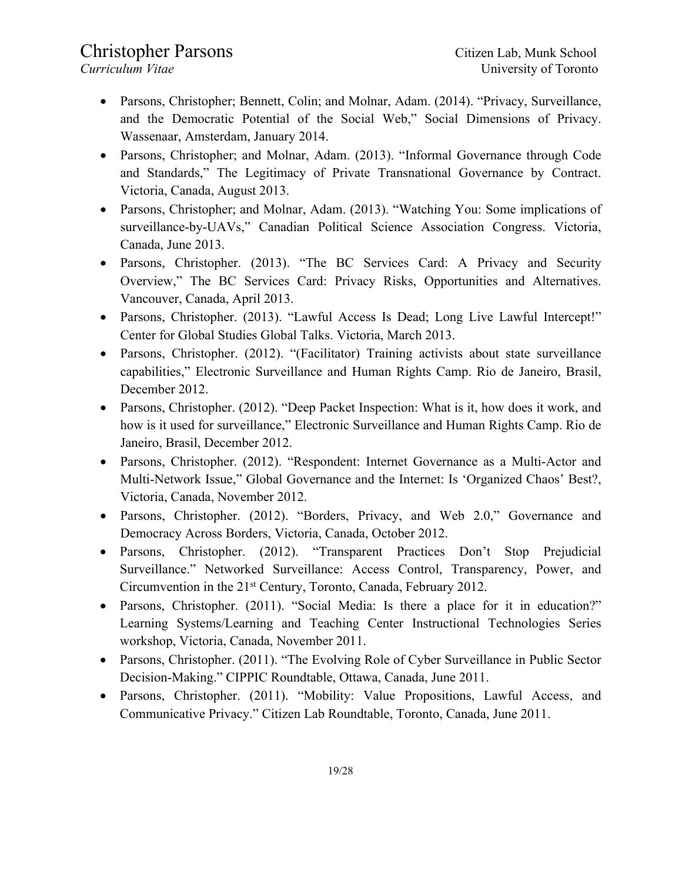- Parsons, Christopher; Bennett, Colin; and Molnar, Adam. (2014). "Privacy, Surveillance, and the Democratic Potential of the Social Web," Social Dimensions of Privacy. Wassenaar, Amsterdam, January 2014.
- Parsons, Christopher; and Molnar, Adam. (2013). "Informal Governance through Code and Standards," The Legitimacy of Private Transnational Governance by Contract. Victoria, Canada, August 2013.
- Parsons, Christopher; and Molnar, Adam. (2013). "Watching You: Some implications of surveillance-by-UAVs," Canadian Political Science Association Congress. Victoria, Canada, June 2013.
- Parsons, Christopher. (2013). "The BC Services Card: A Privacy and Security Overview," The BC Services Card: Privacy Risks, Opportunities and Alternatives. Vancouver, Canada, April 2013.
- Parsons, Christopher. (2013). "Lawful Access Is Dead; Long Live Lawful Intercept!" Center for Global Studies Global Talks. Victoria, March 2013.
- Parsons, Christopher. (2012). "(Facilitator) Training activists about state surveillance capabilities," Electronic Surveillance and Human Rights Camp. Rio de Janeiro, Brasil, December 2012.
- Parsons, Christopher. (2012). "Deep Packet Inspection: What is it, how does it work, and how is it used for surveillance," Electronic Surveillance and Human Rights Camp. Rio de Janeiro, Brasil, December 2012.
- Parsons, Christopher. (2012). "Respondent: Internet Governance as a Multi-Actor and Multi-Network Issue," Global Governance and the Internet: Is 'Organized Chaos' Best?, Victoria, Canada, November 2012.
- Parsons, Christopher. (2012). "Borders, Privacy, and Web 2.0," Governance and Democracy Across Borders, Victoria, Canada, October 2012.
- Parsons, Christopher. (2012). "Transparent Practices Don't Stop Prejudicial Surveillance." Networked Surveillance: Access Control, Transparency, Power, and Circumvention in the 21st Century, Toronto, Canada, February 2012.
- Parsons, Christopher. (2011). "Social Media: Is there a place for it in education?" Learning Systems/Learning and Teaching Center Instructional Technologies Series workshop, Victoria, Canada, November 2011.
- Parsons, Christopher. (2011). "The Evolving Role of Cyber Surveillance in Public Sector Decision-Making." CIPPIC Roundtable, Ottawa, Canada, June 2011.
- Parsons, Christopher. (2011). "Mobility: Value Propositions, Lawful Access, and Communicative Privacy." Citizen Lab Roundtable, Toronto, Canada, June 2011.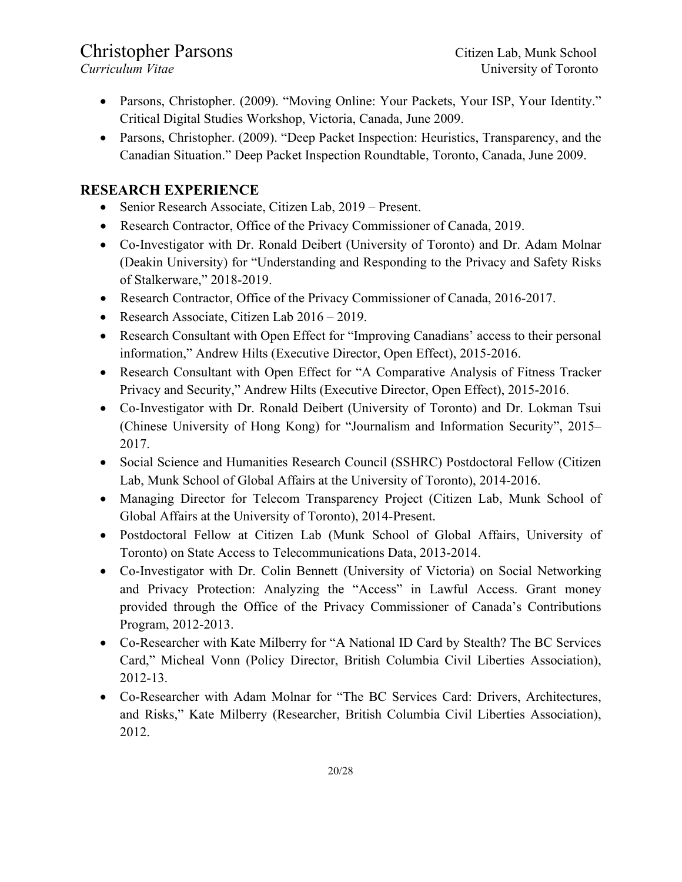- Parsons, Christopher. (2009). "Moving Online: Your Packets, Your ISP, Your Identity." Critical Digital Studies Workshop, Victoria, Canada, June 2009.
- Parsons, Christopher. (2009). "Deep Packet Inspection: Heuristics, Transparency, and the Canadian Situation." Deep Packet Inspection Roundtable, Toronto, Canada, June 2009.

### **RESEARCH EXPERIENCE**

- Senior Research Associate, Citizen Lab, 2019 Present.
- Research Contractor, Office of the Privacy Commissioner of Canada, 2019.
- Co-Investigator with Dr. Ronald Deibert (University of Toronto) and Dr. Adam Molnar (Deakin University) for "Understanding and Responding to the Privacy and Safety Risks of Stalkerware," 2018-2019.
- Research Contractor, Office of the Privacy Commissioner of Canada, 2016-2017.
- Research Associate, Citizen Lab 2016 2019.
- Research Consultant with Open Effect for "Improving Canadians' access to their personal information," Andrew Hilts (Executive Director, Open Effect), 2015-2016.
- Research Consultant with Open Effect for "A Comparative Analysis of Fitness Tracker Privacy and Security," Andrew Hilts (Executive Director, Open Effect), 2015-2016.
- Co-Investigator with Dr. Ronald Deibert (University of Toronto) and Dr. Lokman Tsui (Chinese University of Hong Kong) for "Journalism and Information Security", 2015– 2017.
- Social Science and Humanities Research Council (SSHRC) Postdoctoral Fellow (Citizen Lab, Munk School of Global Affairs at the University of Toronto), 2014-2016.
- Managing Director for Telecom Transparency Project (Citizen Lab, Munk School of Global Affairs at the University of Toronto), 2014-Present.
- Postdoctoral Fellow at Citizen Lab (Munk School of Global Affairs, University of Toronto) on State Access to Telecommunications Data, 2013-2014.
- Co-Investigator with Dr. Colin Bennett (University of Victoria) on Social Networking and Privacy Protection: Analyzing the "Access" in Lawful Access. Grant money provided through the Office of the Privacy Commissioner of Canada's Contributions Program, 2012-2013.
- Co-Researcher with Kate Milberry for "A National ID Card by Stealth? The BC Services Card," Micheal Vonn (Policy Director, British Columbia Civil Liberties Association), 2012-13.
- Co-Researcher with Adam Molnar for "The BC Services Card: Drivers, Architectures, and Risks," Kate Milberry (Researcher, British Columbia Civil Liberties Association), 2012.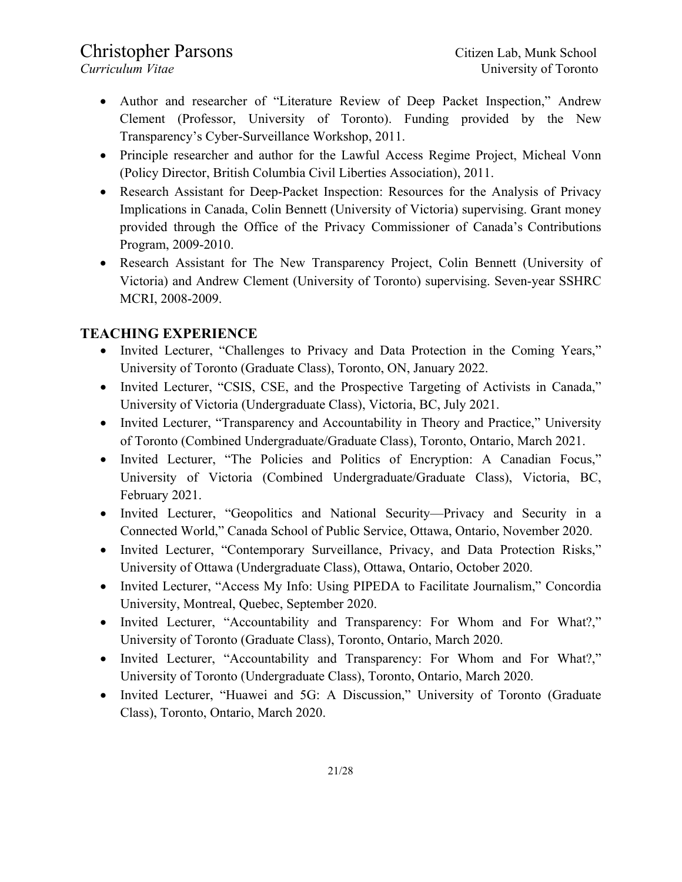- Author and researcher of "Literature Review of Deep Packet Inspection," Andrew Clement (Professor, University of Toronto). Funding provided by the New Transparency's Cyber-Surveillance Workshop, 2011.
- Principle researcher and author for the Lawful Access Regime Project, Micheal Vonn (Policy Director, British Columbia Civil Liberties Association), 2011.
- Research Assistant for Deep-Packet Inspection: Resources for the Analysis of Privacy Implications in Canada, Colin Bennett (University of Victoria) supervising. Grant money provided through the Office of the Privacy Commissioner of Canada's Contributions Program, 2009-2010.
- Research Assistant for The New Transparency Project, Colin Bennett (University of Victoria) and Andrew Clement (University of Toronto) supervising. Seven-year SSHRC MCRI, 2008-2009.

### **TEACHING EXPERIENCE**

- Invited Lecturer, "Challenges to Privacy and Data Protection in the Coming Years," University of Toronto (Graduate Class), Toronto, ON, January 2022.
- Invited Lecturer, "CSIS, CSE, and the Prospective Targeting of Activists in Canada," University of Victoria (Undergraduate Class), Victoria, BC, July 2021.
- Invited Lecturer, "Transparency and Accountability in Theory and Practice," University of Toronto (Combined Undergraduate/Graduate Class), Toronto, Ontario, March 2021.
- Invited Lecturer, "The Policies and Politics of Encryption: A Canadian Focus," University of Victoria (Combined Undergraduate/Graduate Class), Victoria, BC, February 2021.
- Invited Lecturer, "Geopolitics and National Security—Privacy and Security in a Connected World," Canada School of Public Service, Ottawa, Ontario, November 2020.
- Invited Lecturer, "Contemporary Surveillance, Privacy, and Data Protection Risks," University of Ottawa (Undergraduate Class), Ottawa, Ontario, October 2020.
- Invited Lecturer, "Access My Info: Using PIPEDA to Facilitate Journalism," Concordia University, Montreal, Quebec, September 2020.
- Invited Lecturer, "Accountability and Transparency: For Whom and For What?," University of Toronto (Graduate Class), Toronto, Ontario, March 2020.
- Invited Lecturer, "Accountability and Transparency: For Whom and For What?," University of Toronto (Undergraduate Class), Toronto, Ontario, March 2020.
- Invited Lecturer, "Huawei and 5G: A Discussion," University of Toronto (Graduate Class), Toronto, Ontario, March 2020.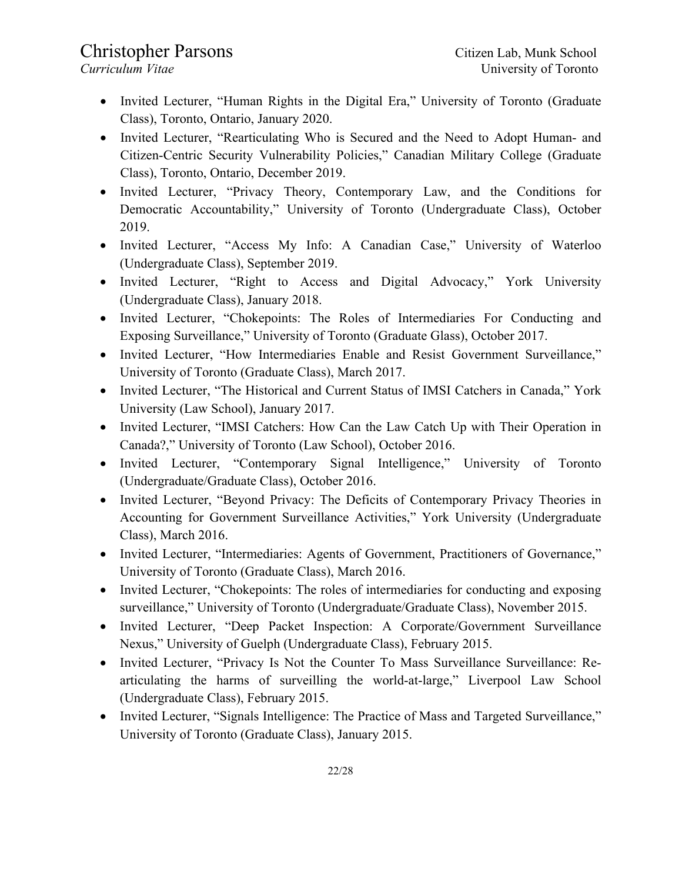- Invited Lecturer, "Human Rights in the Digital Era," University of Toronto (Graduate Class), Toronto, Ontario, January 2020.
- Invited Lecturer, "Rearticulating Who is Secured and the Need to Adopt Human- and Citizen-Centric Security Vulnerability Policies," Canadian Military College (Graduate Class), Toronto, Ontario, December 2019.
- Invited Lecturer, "Privacy Theory, Contemporary Law, and the Conditions for Democratic Accountability," University of Toronto (Undergraduate Class), October 2019.
- Invited Lecturer, "Access My Info: A Canadian Case," University of Waterloo (Undergraduate Class), September 2019.
- Invited Lecturer, "Right to Access and Digital Advocacy," York University (Undergraduate Class), January 2018.
- Invited Lecturer, "Chokepoints: The Roles of Intermediaries For Conducting and Exposing Surveillance," University of Toronto (Graduate Glass), October 2017.
- Invited Lecturer, "How Intermediaries Enable and Resist Government Surveillance," University of Toronto (Graduate Class), March 2017.
- Invited Lecturer, "The Historical and Current Status of IMSI Catchers in Canada," York University (Law School), January 2017.
- Invited Lecturer, "IMSI Catchers: How Can the Law Catch Up with Their Operation in Canada?," University of Toronto (Law School), October 2016.
- Invited Lecturer, "Contemporary Signal Intelligence," University of Toronto (Undergraduate/Graduate Class), October 2016.
- Invited Lecturer, "Beyond Privacy: The Deficits of Contemporary Privacy Theories in Accounting for Government Surveillance Activities," York University (Undergraduate Class), March 2016.
- Invited Lecturer, "Intermediaries: Agents of Government, Practitioners of Governance," University of Toronto (Graduate Class), March 2016.
- Invited Lecturer, "Chokepoints: The roles of intermediaries for conducting and exposing surveillance," University of Toronto (Undergraduate/Graduate Class), November 2015.
- Invited Lecturer, "Deep Packet Inspection: A Corporate/Government Surveillance Nexus," University of Guelph (Undergraduate Class), February 2015.
- Invited Lecturer, "Privacy Is Not the Counter To Mass Surveillance Surveillance: Rearticulating the harms of surveilling the world-at-large," Liverpool Law School (Undergraduate Class), February 2015.
- Invited Lecturer, "Signals Intelligence: The Practice of Mass and Targeted Surveillance," University of Toronto (Graduate Class), January 2015.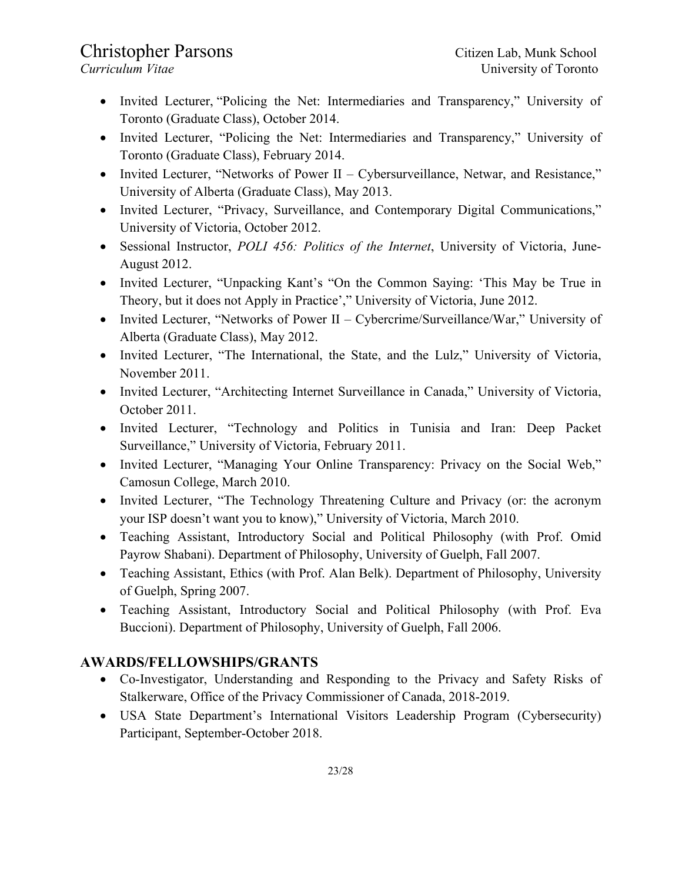- Invited Lecturer, "Policing the Net: Intermediaries and Transparency," University of Toronto (Graduate Class), October 2014.
- Invited Lecturer, "Policing the Net: Intermediaries and Transparency," University of Toronto (Graduate Class), February 2014.
- Invited Lecturer, "Networks of Power II Cybersurveillance, Netwar, and Resistance," University of Alberta (Graduate Class), May 2013.
- Invited Lecturer, "Privacy, Surveillance, and Contemporary Digital Communications," University of Victoria, October 2012.
- Sessional Instructor, *POLI 456: Politics of the Internet*, University of Victoria, June-August 2012.
- Invited Lecturer, "Unpacking Kant's "On the Common Saying: 'This May be True in Theory, but it does not Apply in Practice'," University of Victoria, June 2012.
- Invited Lecturer, "Networks of Power II Cybercrime/Surveillance/War," University of Alberta (Graduate Class), May 2012.
- Invited Lecturer, "The International, the State, and the Lulz," University of Victoria, November 2011.
- Invited Lecturer, "Architecting Internet Surveillance in Canada," University of Victoria, October 2011.
- Invited Lecturer, "Technology and Politics in Tunisia and Iran: Deep Packet Surveillance," University of Victoria, February 2011.
- Invited Lecturer, "Managing Your Online Transparency: Privacy on the Social Web," Camosun College, March 2010.
- Invited Lecturer, "The Technology Threatening Culture and Privacy (or: the acronym your ISP doesn't want you to know)," University of Victoria, March 2010.
- Teaching Assistant, Introductory Social and Political Philosophy (with Prof. Omid Payrow Shabani). Department of Philosophy, University of Guelph, Fall 2007.
- Teaching Assistant, Ethics (with Prof. Alan Belk). Department of Philosophy, University of Guelph, Spring 2007.
- Teaching Assistant, Introductory Social and Political Philosophy (with Prof. Eva Buccioni). Department of Philosophy, University of Guelph, Fall 2006.

## **AWARDS/FELLOWSHIPS/GRANTS**

- Co-Investigator, Understanding and Responding to the Privacy and Safety Risks of Stalkerware, Office of the Privacy Commissioner of Canada, 2018-2019.
- USA State Department's International Visitors Leadership Program (Cybersecurity) Participant, September-October 2018.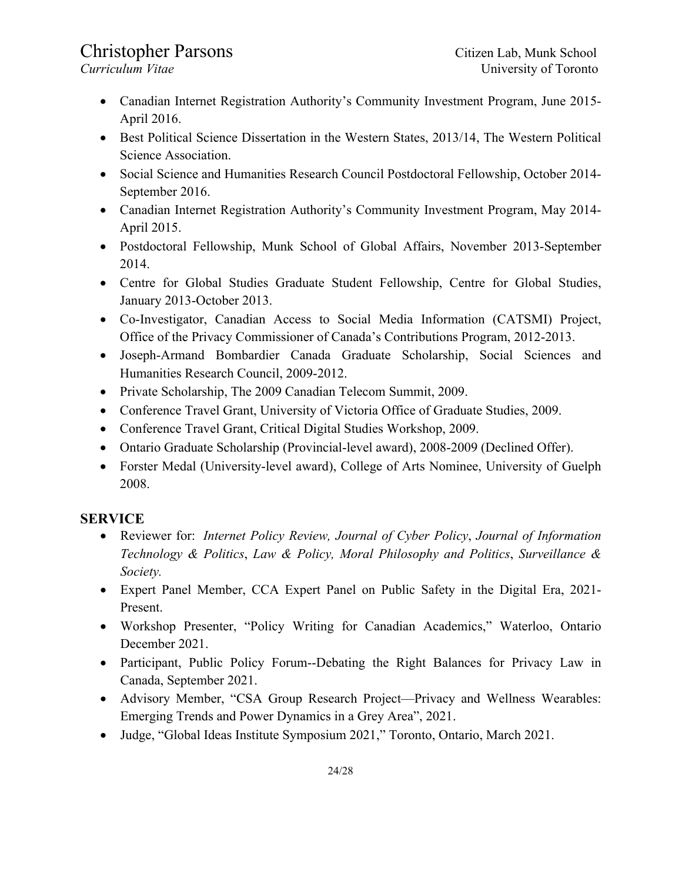- Canadian Internet Registration Authority's Community Investment Program, June 2015-April 2016.
- Best Political Science Dissertation in the Western States, 2013/14, The Western Political Science Association.
- Social Science and Humanities Research Council Postdoctoral Fellowship, October 2014- September 2016.
- Canadian Internet Registration Authority's Community Investment Program, May 2014- April 2015.
- Postdoctoral Fellowship, Munk School of Global Affairs, November 2013-September 2014.
- Centre for Global Studies Graduate Student Fellowship, Centre for Global Studies, January 2013-October 2013.
- Co-Investigator, Canadian Access to Social Media Information (CATSMI) Project, Office of the Privacy Commissioner of Canada's Contributions Program, 2012-2013.
- Joseph-Armand Bombardier Canada Graduate Scholarship, Social Sciences and Humanities Research Council, 2009-2012.
- Private Scholarship, The 2009 Canadian Telecom Summit, 2009.
- Conference Travel Grant, University of Victoria Office of Graduate Studies, 2009.
- Conference Travel Grant, Critical Digital Studies Workshop, 2009.
- Ontario Graduate Scholarship (Provincial-level award), 2008-2009 (Declined Offer).
- Forster Medal (University-level award), College of Arts Nominee, University of Guelph 2008.

### **SERVICE**

- Reviewer for: *Internet Policy Review, Journal of Cyber Policy*, *Journal of Information Technology & Politics*, *Law & Policy, Moral Philosophy and Politics*, *Surveillance & Society.*
- Expert Panel Member, CCA Expert Panel on Public Safety in the Digital Era, 2021- Present.
- Workshop Presenter, "Policy Writing for Canadian Academics," Waterloo, Ontario December 2021.
- Participant, Public Policy Forum--Debating the Right Balances for Privacy Law in Canada, September 2021.
- Advisory Member, "CSA Group Research Project—Privacy and Wellness Wearables: Emerging Trends and Power Dynamics in a Grey Area", 2021.
- Judge, "Global Ideas Institute Symposium 2021," Toronto, Ontario, March 2021.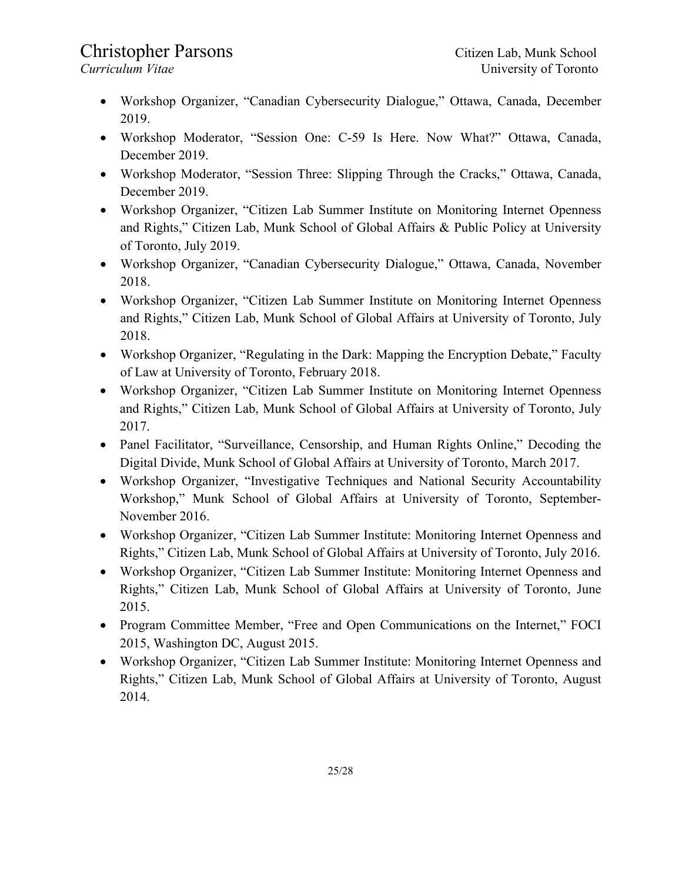- Workshop Organizer, "Canadian Cybersecurity Dialogue," Ottawa, Canada, December 2019.
- Workshop Moderator, "Session One: C-59 Is Here. Now What?" Ottawa, Canada, December 2019.
- Workshop Moderator, "Session Three: Slipping Through the Cracks," Ottawa, Canada, December 2019.
- Workshop Organizer, "Citizen Lab Summer Institute on Monitoring Internet Openness and Rights," Citizen Lab, Munk School of Global Affairs & Public Policy at University of Toronto, July 2019.
- Workshop Organizer, "Canadian Cybersecurity Dialogue," Ottawa, Canada, November 2018.
- Workshop Organizer, "Citizen Lab Summer Institute on Monitoring Internet Openness and Rights," Citizen Lab, Munk School of Global Affairs at University of Toronto, July 2018.
- Workshop Organizer, "Regulating in the Dark: Mapping the Encryption Debate," Faculty of Law at University of Toronto, February 2018.
- Workshop Organizer, "Citizen Lab Summer Institute on Monitoring Internet Openness and Rights," Citizen Lab, Munk School of Global Affairs at University of Toronto, July 2017.
- Panel Facilitator, "Surveillance, Censorship, and Human Rights Online," Decoding the Digital Divide, Munk School of Global Affairs at University of Toronto, March 2017.
- Workshop Organizer, "Investigative Techniques and National Security Accountability Workshop," Munk School of Global Affairs at University of Toronto, September-November 2016.
- Workshop Organizer, "Citizen Lab Summer Institute: Monitoring Internet Openness and Rights," Citizen Lab, Munk School of Global Affairs at University of Toronto, July 2016.
- Workshop Organizer, "Citizen Lab Summer Institute: Monitoring Internet Openness and Rights," Citizen Lab, Munk School of Global Affairs at University of Toronto, June 2015.
- Program Committee Member, "Free and Open Communications on the Internet," FOCI 2015, Washington DC, August 2015.
- Workshop Organizer, "Citizen Lab Summer Institute: Monitoring Internet Openness and Rights," Citizen Lab, Munk School of Global Affairs at University of Toronto, August 2014.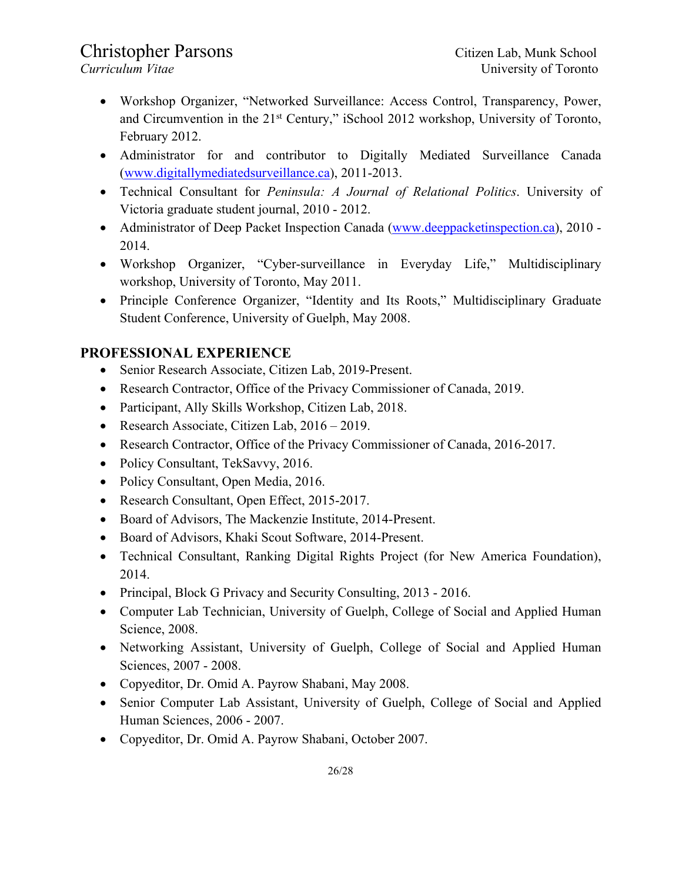- Workshop Organizer, "Networked Surveillance: Access Control, Transparency, Power, and Circumvention in the 21st Century," iSchool 2012 workshop, University of Toronto, February 2012.
- Administrator for and contributor to Digitally Mediated Surveillance Canada (www.digitallymediatedsurveillance.ca), 2011-2013.
- Technical Consultant for *Peninsula: A Journal of Relational Politics*. University of Victoria graduate student journal, 2010 - 2012.
- Administrator of Deep Packet Inspection Canada (www.deeppacketinspection.ca), 2010 -2014.
- Workshop Organizer, "Cyber-surveillance in Everyday Life," Multidisciplinary workshop, University of Toronto, May 2011.
- Principle Conference Organizer, "Identity and Its Roots," Multidisciplinary Graduate Student Conference, University of Guelph, May 2008.

### **PROFESSIONAL EXPERIENCE**

- Senior Research Associate, Citizen Lab, 2019-Present.
- Research Contractor, Office of the Privacy Commissioner of Canada, 2019.
- Participant, Ally Skills Workshop, Citizen Lab, 2018.
- Research Associate, Citizen Lab, 2016 2019.
- Research Contractor, Office of the Privacy Commissioner of Canada, 2016-2017.
- Policy Consultant, TekSavvy, 2016.
- Policy Consultant, Open Media, 2016.
- Research Consultant, Open Effect, 2015-2017.
- Board of Advisors, The Mackenzie Institute, 2014-Present.
- Board of Advisors, Khaki Scout Software, 2014-Present.
- Technical Consultant, Ranking Digital Rights Project (for New America Foundation), 2014.
- Principal, Block G Privacy and Security Consulting, 2013 2016.
- Computer Lab Technician, University of Guelph, College of Social and Applied Human Science, 2008.
- Networking Assistant, University of Guelph, College of Social and Applied Human Sciences, 2007 - 2008.
- Copyeditor, Dr. Omid A. Payrow Shabani, May 2008.
- Senior Computer Lab Assistant, University of Guelph, College of Social and Applied Human Sciences, 2006 - 2007.
- Copyeditor, Dr. Omid A. Payrow Shabani, October 2007.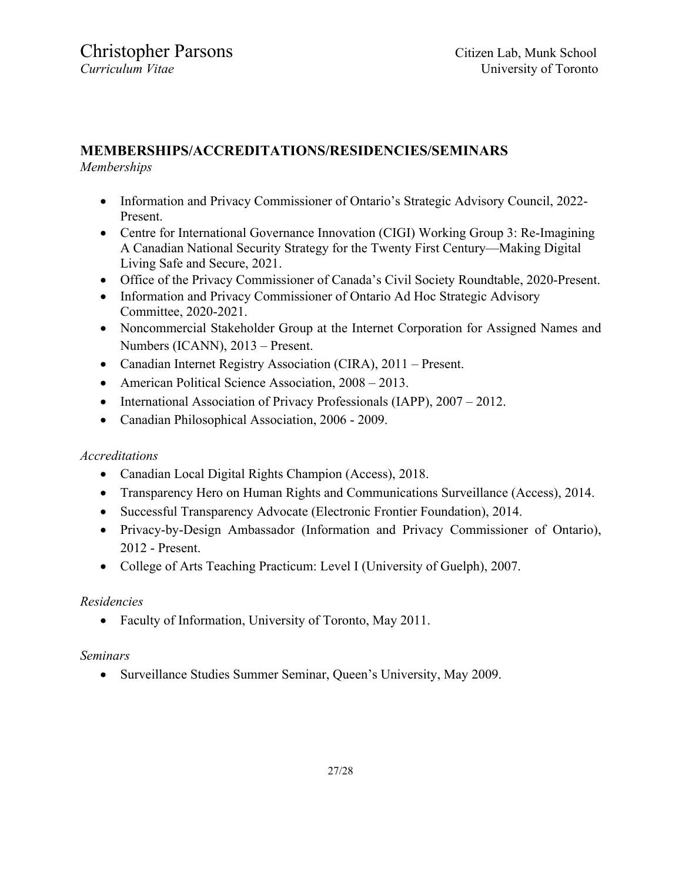## **MEMBERSHIPS/ACCREDITATIONS/RESIDENCIES/SEMINARS**

#### *Memberships*

- Information and Privacy Commissioner of Ontario's Strategic Advisory Council, 2022- Present.
- Centre for International Governance Innovation (CIGI) Working Group 3: Re-Imagining A Canadian National Security Strategy for the Twenty First Century—Making Digital Living Safe and Secure, 2021.
- Office of the Privacy Commissioner of Canada's Civil Society Roundtable, 2020-Present.
- Information and Privacy Commissioner of Ontario Ad Hoc Strategic Advisory Committee, 2020-2021.
- Noncommercial Stakeholder Group at the Internet Corporation for Assigned Names and Numbers (ICANN), 2013 – Present.
- Canadian Internet Registry Association (CIRA), 2011 Present.
- American Political Science Association, 2008 2013.
- International Association of Privacy Professionals (IAPP), 2007 2012.
- Canadian Philosophical Association, 2006 2009.

### *Accreditations*

- Canadian Local Digital Rights Champion (Access), 2018.
- Transparency Hero on Human Rights and Communications Surveillance (Access), 2014.
- Successful Transparency Advocate (Electronic Frontier Foundation), 2014.
- Privacy-by-Design Ambassador (Information and Privacy Commissioner of Ontario), 2012 - Present.
- College of Arts Teaching Practicum: Level I (University of Guelph), 2007.

### *Residencies*

• Faculty of Information, University of Toronto, May 2011.

### *Seminars*

• Surveillance Studies Summer Seminar, Queen's University, May 2009.